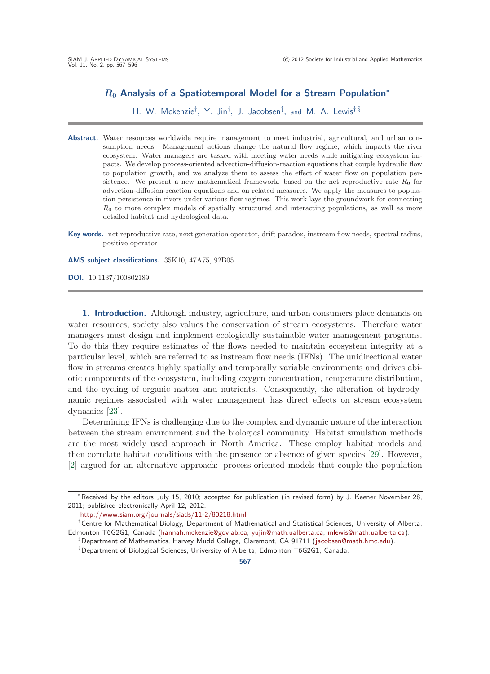# *R***<sup>0</sup> Analysis of a Spatiotemporal Model for a Stream Population***<sup>∗</sup>*

H. W. Mckenzie $^{\dagger}$ , Y. Jin $^{\dagger}$ , J. Jacobsen $^{\ddagger}$ , and M. A. Lewis $^{\dagger\,\S}$ 

- Abstract. Water resources worldwide require management to meet industrial, agricultural, and urban consumption needs. Management actions change the natural flow regime, which impacts the river ecosystem. Water managers are tasked with meeting water needs while mitigating ecosystem impacts. We develop process-oriented advection-diffusion-reaction equations that couple hydraulic flow to population growth, and we analyze them to assess the effect of water flow on population persistence. We present a new mathematical framework, based on the net reproductive rate  $R_0$  for advection-diffusion-reaction equations and on related measures. We apply the measures to population persistence in rivers under various flow regimes. This work lays the groundwork for connecting  $R_0$  to more complex models of spatially structured and interacting populations, as well as more detailed habitat and hydrological data.
- **Key words.** net reproductive rate, next generation operator, drift paradox, instream flow needs, spectral radius, positive operator

**AMS subject classifications.** 35K10, 47A75, 92B05

**DOI.** 10.1137/100802189

**1. Introduction.** Although industry, agriculture, and urban consumers place demands on water resources, society also values the conservation of stream ecosystems. Therefore water managers must design and implement ecologically sustainable water management programs. To do this they require estimates of the flows needed to maintain ecosystem integrity at a particular level, which are referred to as instream flow needs (IFNs). The unidirectional water flow in streams creates highly spatially and temporally variable environments and drives abiotic components of the ecosystem, including oxygen concentration, temperature distribution, and the cycling of organic matter and nutrients. Consequently, the alteration of hydrodynamic regimes associated with water management has direct effects on stream ecosystem dynamics [\[23\]](#page-29-0).

Determining IFNs is challenging due to the complex and dynamic nature of the interaction between the stream environment and the biological community. Habitat simulation methods are the most widely used approach in North America. These employ habitat models and then correlate habitat conditions with the presence or absence of given species [\[29\]](#page-29-1). However, [\[2\]](#page-28-0) argued for an alternative approach: process-oriented models that couple the population

<sup>∗</sup>Received by the editors July 15, 2010; accepted for publication (in revised form) by J. Keener November 28, 2011; published electronically April 12, 2012.

<http://www.siam.org/journals/siads/11-2/80218.html>

 $\dagger$ Centre for Mathematical Biology, Department of Mathematical and Statistical Sciences, University of Alberta, Edmonton T6G2G1, Canada [\(hannah.mckenzie@gov.ab.ca,](mailto:hannah.mckenzie@gov.ab.ca) [yujin@math.ualberta.ca,](mailto:yujin@math.ualberta.ca) [mlewis@math.ualberta.ca\)](mailto:mlewis@math.ualberta.ca). ‡Department of Mathematics, Harvey Mudd College, Claremont, CA 91711 [\(jacobsen@math.hmc.edu\)](mailto:jacobsen@math.hmc.edu).

<sup>§</sup>Department of Biological Sciences, University of Alberta, Edmonton T6G2G1, Canada.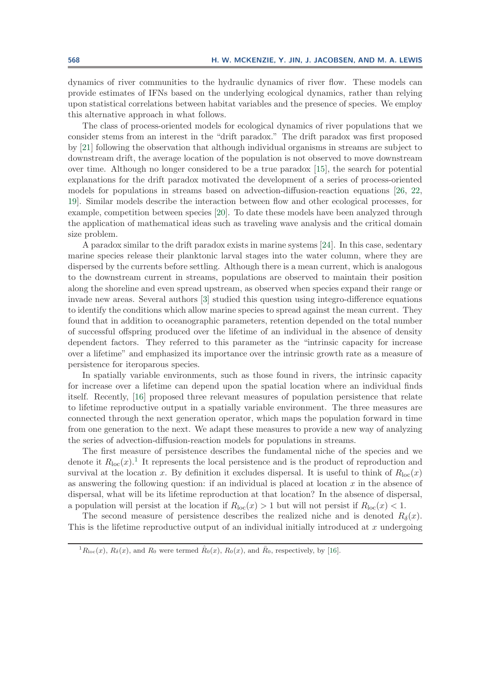dynamics of river communities to the hydraulic dynamics of river flow. These models can provide estimates of IFNs based on the underlying ecological dynamics, rather than relying upon statistical correlations between habitat variables and the presence of species. We employ this alternative approach in what follows.

The class of process-oriented models for ecological dynamics of river populations that we consider stems from an interest in the "drift paradox." The drift paradox was first proposed by [\[21\]](#page-29-2) following the observation that although individual organisms in streams are subject to downstream drift, the average location of the population is not observed to move downstream over time. Although no longer considered to be a true paradox [\[15\]](#page-28-1), the search for potential explanations for the drift paradox motivated the development of a series of process-oriented models for populations in streams based on advection-diffusion-reaction equations [\[26,](#page-29-3) [22,](#page-29-4) [19\]](#page-29-5). Similar models describe the interaction between flow and other ecological processes, for example, competition between species [\[20\]](#page-29-6). To date these models have been analyzed through the application of mathematical ideas such as traveling wave analysis and the critical domain size problem.

A paradox similar to the drift paradox exists in marine systems [\[24\]](#page-29-7). In this case, sedentary marine species release their planktonic larval stages into the water column, where they are dispersed by the currents before settling. Although there is a mean current, which is analogous to the downstream current in streams, populations are observed to maintain their position along the shoreline and even spread upstream, as observed when species expand their range or invade new areas. Several authors [\[3\]](#page-28-2) studied this question using integro-difference equations to identify the conditions which allow marine species to spread against the mean current. They found that in addition to oceanographic parameters, retention depended on the total number of successful offspring produced over the lifetime of an individual in the absence of density dependent factors. They referred to this parameter as the "intrinsic capacity for increase over a lifetime" and emphasized its importance over the intrinsic growth rate as a measure of persistence for iteroparous species.

In spatially variable environments, such as those found in rivers, the intrinsic capacity for increase over a lifetime can depend upon the spatial location where an individual finds itself. Recently, [\[16\]](#page-28-3) proposed three relevant measures of population persistence that relate to lifetime reproductive output in a spatially variable environment. The three measures are connected through the next generation operator, which maps the population forward in time from one generation to the next. We adapt these measures to provide a new way of analyzing the series of advection-diffusion-reaction models for populations in streams.

The first measure of persistence describes the fundamental niche of the species and we denote it  $R_{\text{loc}}(x)$ .<sup>[1](#page-1-0)</sup> It represents the local persistence and is the product of reproduction and survival at the location x. By definition it excludes dispersal. It is useful to think of  $R_{loc}(x)$ as answering the following question: if an individual is placed at location  $x$  in the absence of dispersal, what will be its lifetime reproduction at that location? In the absence of dispersal, a population will persist at the location if  $R_{\text{loc}}(x) > 1$  but will not persist if  $R_{\text{loc}}(x) < 1$ .

The second measure of persistence describes the realized niche and is denoted  $R_{\delta}(x)$ . This is the lifetime reproductive output of an individual initially introduced at x undergoing

<span id="page-1-0"></span> ${}^{1}R_{\text{loc}}(x)$ ,  $R_{\delta}(x)$ , and  $R_{0}$  were termed  $\hat{R}_{0}(x)$ ,  $R_{0}(x)$ , and  $\bar{R}_{0}$ , respectively, by [\[16\]](#page-28-3).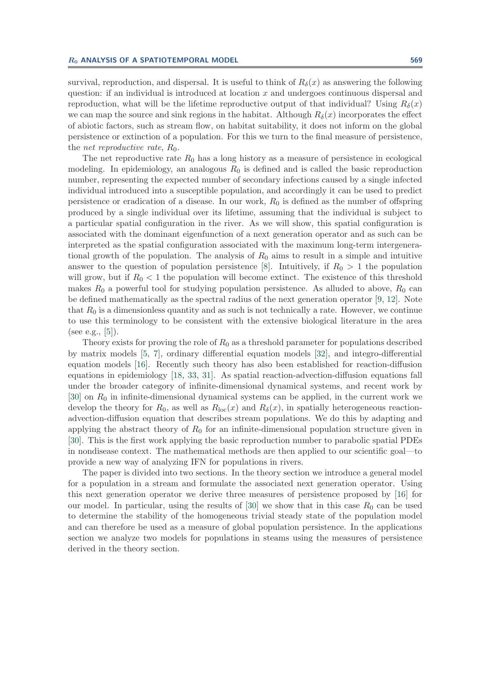survival, reproduction, and dispersal. It is useful to think of  $R_\delta(x)$  as answering the following question: if an individual is introduced at location  $x$  and undergoes continuous dispersal and reproduction, what will be the lifetime reproductive output of that individual? Using  $R_\delta(x)$ we can map the source and sink regions in the habitat. Although  $R_{\delta}(x)$  incorporates the effect of abiotic factors, such as stream flow, on habitat suitability, it does not inform on the global persistence or extinction of a population. For this we turn to the final measure of persistence, the *net reproductive rate*,  $R_0$ .

The net reproductive rate  $R_0$  has a long history as a measure of persistence in ecological modeling. In epidemiology, an analogous  $R_0$  is defined and is called the basic reproduction number, representing the expected number of secondary infections caused by a single infected individual introduced into a susceptible population, and accordingly it can be used to predict persistence or eradication of a disease. In our work,  $R_0$  is defined as the number of offspring produced by a single individual over its lifetime, assuming that the individual is subject to a particular spatial configuration in the river. As we will show, this spatial configuration is associated with the dominant eigenfunction of a next generation operator and as such can be interpreted as the spatial configuration associated with the maximum long-term intergenerational growth of the population. The analysis of  $R_0$  aims to result in a simple and intuitive answer to the question of population persistence [\[8\]](#page-28-4). Intuitively, if  $R_0 > 1$  the population will grow, but if  $R_0 < 1$  the population will become extinct. The existence of this threshold makes  $R_0$  a powerful tool for studying population persistence. As alluded to above,  $R_0$  can be defined mathematically as the spectral radius of the next generation operator [\[9,](#page-28-5) [12\]](#page-28-6). Note that  $R_0$  is a dimensionless quantity and as such is not technically a rate. However, we continue to use this terminology to be consistent with the extensive biological literature in the area (see e.g.,  $[5]$ ).

Theory exists for proving the role of  $R_0$  as a threshold parameter for populations described by matrix models [\[5,](#page-28-7) [7\]](#page-28-8), ordinary differential equation models [\[32\]](#page-29-8), and integro-differential equation models [\[16\]](#page-28-3). Recently such theory has also been established for reaction-diffusion equations in epidemiology [\[18,](#page-29-9) [33,](#page-29-10) [31\]](#page-29-11). As spatial reaction-advection-diffusion equations fall under the broader category of infinite-dimensional dynamical systems, and recent work by  $[30]$  on  $R_0$  in infinite-dimensional dynamical systems can be applied, in the current work we develop the theory for  $R_0$ , as well as  $R_{\text{loc}}(x)$  and  $R_{\delta}(x)$ , in spatially heterogeneous reactionadvection-diffusion equation that describes stream populations. We do this by adapting and applying the abstract theory of  $R_0$  for an infinite-dimensional population structure given in [\[30\]](#page-29-12). This is the first work applying the basic reproduction number to parabolic spatial PDEs in nondisease context. The mathematical methods are then applied to our scientific goal—to provide a new way of analyzing IFN for populations in rivers.

The paper is divided into two sections. In the theory section we introduce a general model for a population in a stream and formulate the associated next generation operator. Using this next generation operator we derive three measures of persistence proposed by [\[16\]](#page-28-3) for our model. In particular, using the results of [\[30\]](#page-29-12) we show that in this case  $R_0$  can be used to determine the stability of the homogeneous trivial steady state of the population model and can therefore be used as a measure of global population persistence. In the applications section we analyze two models for populations in steams using the measures of persistence derived in the theory section.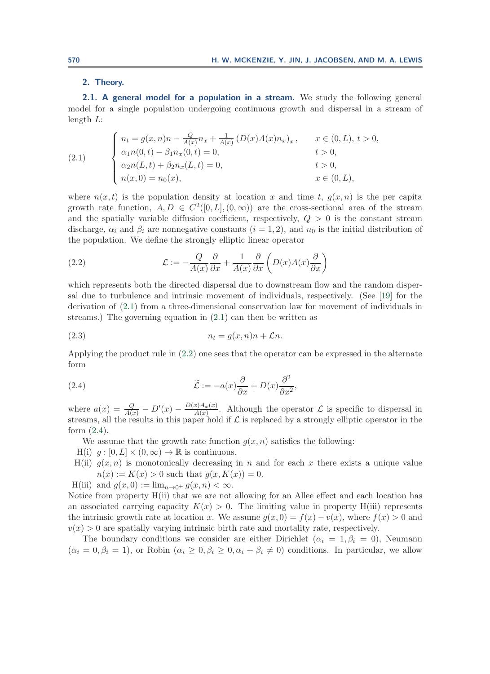#### <span id="page-3-3"></span><span id="page-3-0"></span>**2. Theory.**

**2.1. A general model for a population in a stream.** We study the following general model for a single population undergoing continuous growth and dispersal in a stream of length L:

(2.1) 
$$
\begin{cases} n_t = g(x, n)n - \frac{Q}{A(x)}n_x + \frac{1}{A(x)} (D(x)A(x)n_x)_x, & x \in (0, L), t > 0, \\ \alpha_1 n(0, t) - \beta_1 n_x(0, t) = 0, & t > 0, \\ \alpha_2 n(L, t) + \beta_2 n_x(L, t) = 0, & t > 0, \\ n(x, 0) = n_0(x), & x \in (0, L), \end{cases}
$$

where  $n(x, t)$  is the population density at location x and time t,  $g(x, n)$  is the per capita growth rate function,  $A, D \in C^2([0, L], (0, \infty))$  are the cross-sectional area of the stream and the spatially variable diffusion coefficient, respectively,  $Q > 0$  is the constant stream discharge,  $\alpha_i$  and  $\beta_i$  are nonnegative constants  $(i = 1, 2)$ , and  $n_0$  is the initial distribution of the population. We define the strongly elliptic linear operator

<span id="page-3-1"></span>(2.2) 
$$
\mathcal{L} := -\frac{Q}{A(x)}\frac{\partial}{\partial x} + \frac{1}{A(x)}\frac{\partial}{\partial x}\left(D(x)A(x)\frac{\partial}{\partial x}\right)
$$

which represents both the directed dispersal due to downstream flow and the random dispersal due to turbulence and intrinsic movement of individuals, respectively. (See [\[19\]](#page-29-5) for the derivation of [\(2.1\)](#page-3-0) from a three-dimensional conservation law for movement of individuals in streams.) The governing equation in [\(2.1\)](#page-3-0) can then be written as

$$
(2.3) \t\t n_t = g(x, n)n + \mathcal{L}n.
$$

<span id="page-3-2"></span>Applying the product rule in [\(2.2\)](#page-3-1) one sees that the operator can be expressed in the alternate form

(2.4) 
$$
\widetilde{\mathcal{L}} := -a(x)\frac{\partial}{\partial x} + D(x)\frac{\partial^2}{\partial x^2},
$$

where  $a(x) = \frac{Q}{A(x)} - D'(x) - \frac{D(x)A_x(x)}{A(x)}$ . Although the operator  $\mathcal L$  is specific to dispersal in streams, all the results in this paper hold if  $\mathcal L$  is replaced by a strongly elliptic operator in the form  $(2.4)$ .

We assume that the growth rate function  $g(x, n)$  satisfies the following:

- H(i)  $q : [0, L] \times (0, \infty) \rightarrow \mathbb{R}$  is continuous.
- H(ii)  $q(x, n)$  is monotonically decreasing in n and for each x there exists a unique value  $n(x) := K(x) > 0$  such that  $q(x, K(x)) = 0$ .
- H(iii) and  $g(x, 0) := \lim_{n\to 0^+} g(x, n) < \infty$ .

Notice from property H(ii) that we are not allowing for an Allee effect and each location has an associated carrying capacity  $K(x) > 0$ . The limiting value in property H(iii) represents the intrinsic growth rate at location x. We assume  $g(x, 0) = f(x) - v(x)$ , where  $f(x) > 0$  and  $v(x) > 0$  are spatially varying intrinsic birth rate and mortality rate, respectively.

The boundary conditions we consider are either Dirichlet ( $\alpha_i = 1, \beta_i = 0$ ), Neumann  $(\alpha_i = 0, \beta_i = 1)$ , or Robin  $(\alpha_i \geq 0, \beta_i \geq 0, \alpha_i + \beta_i \neq 0)$  conditions. In particular, we allow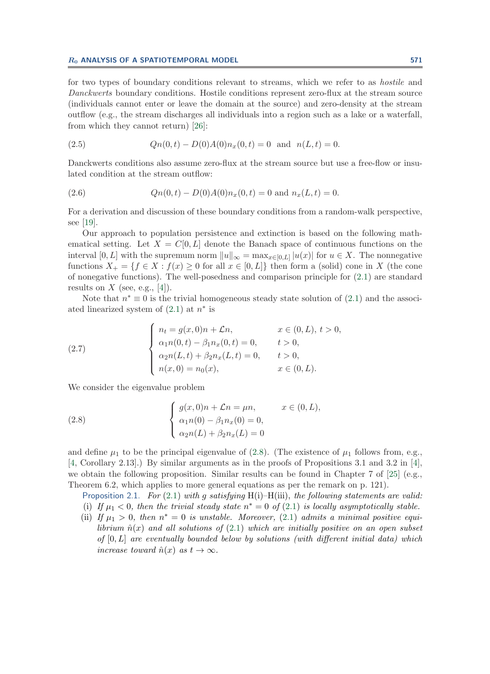#### *R***<sup>0</sup> ANALYSIS OF A SPATIOTEMPORAL MODEL 571**

for two types of boundary conditions relevant to streams, which we refer to as *hostile* and *Danckwerts* boundary conditions. Hostile conditions represent zero-flux at the stream source (individuals cannot enter or leave the domain at the source) and zero-density at the stream outflow (e.g., the stream discharges all individuals into a region such as a lake or a waterfall, from which they cannot return) [\[26\]](#page-29-3):

(2.5) 
$$
Qn(0,t) - D(0)A(0)n_x(0,t) = 0
$$
 and  $n(L,t) = 0$ .

Danckwerts conditions also assume zero-flux at the stream source but use a free-flow or insulated condition at the stream outflow:

(2.6) 
$$
Qn(0,t) - D(0)A(0)n_x(0,t) = 0 \text{ and } n_x(L,t) = 0.
$$

For a derivation and discussion of these boundary conditions from a random-walk perspective, see [\[19\]](#page-29-5).

Our approach to population persistence and extinction is based on the following mathematical setting. Let  $X = C[0, L]$  denote the Banach space of continuous functions on the interval [0, L] with the supremum norm  $||u||_{\infty} = \max_{x \in [0,L]} |u(x)|$  for  $u \in X$ . The nonnegative functions  $X_+ = \{f \in X : f(x) \geq 0 \text{ for all } x \in [0, L]\}\$  then form a (solid) cone in X (the cone of nonegative functions). The well-posedness and comparison principle for [\(2.1\)](#page-3-0) are standard results on  $X$  (see, e.g., [\[4\]](#page-28-9)).

<span id="page-4-2"></span>Note that  $n^* \equiv 0$  is the trivial homogeneous steady state solution of [\(2.1\)](#page-3-0) and the associated linearized system of  $(2.1)$  at  $n^*$  is

(2.7) 
$$
\begin{cases} n_t = g(x,0)n + \mathcal{L}n, & x \in (0,L), t > 0, \\ \alpha_1 n(0,t) - \beta_1 n_x(0,t) = 0, & t > 0, \\ \alpha_2 n(L,t) + \beta_2 n_x(L,t) = 0, & t > 0, \\ n(x,0) = n_0(x), & x \in (0,L). \end{cases}
$$

<span id="page-4-0"></span>We consider the eigenvalue problem

(2.8) 
$$
\begin{cases} g(x,0)n + \mathcal{L}n = \mu n, & x \in (0, L), \\ \alpha_1 n(0) - \beta_1 n_x(0) = 0, \\ \alpha_2 n(L) + \beta_2 n_x(L) = 0 \end{cases}
$$

and define  $\mu_1$  to be the principal eigenvalue of [\(2.8\)](#page-4-0). (The existence of  $\mu_1$  follows from, e.g., [\[4,](#page-28-9) Corollary 2.13].) By similar arguments as in the proofs of Propositions 3.1 and 3.2 in [\[4\]](#page-28-9), we obtain the following proposition. Similar results can be found in Chapter 7 of [\[25\]](#page-29-13) (e.g., Theorem 6.2, which applies to more general equations as per the remark on p. 121).

<span id="page-4-1"></span>Proposition 2.1. *For* [\(2.1\)](#page-3-0) *with* g *satisfying* H(i)–H(iii), *the following statements are valid:*

- (i) If  $\mu_1 < 0$ , then the trivial steady state  $n^* = 0$  of [\(2.1\)](#page-3-0) is locally asymptotically stable.
- (ii) If  $\mu_1 > 0$ , then  $n^* = 0$  is unstable. Moreover, [\(2.1\)](#page-3-0) admits a minimal positive equi*librium*  $\hat{n}(x)$  *and all solutions of*  $(2.1)$  *which are initially positive on an open subset of* [0, L] *are eventually bounded below by solutions (with different initial data) which increase toward*  $\hat{n}(x)$  *as*  $t \to \infty$ *.*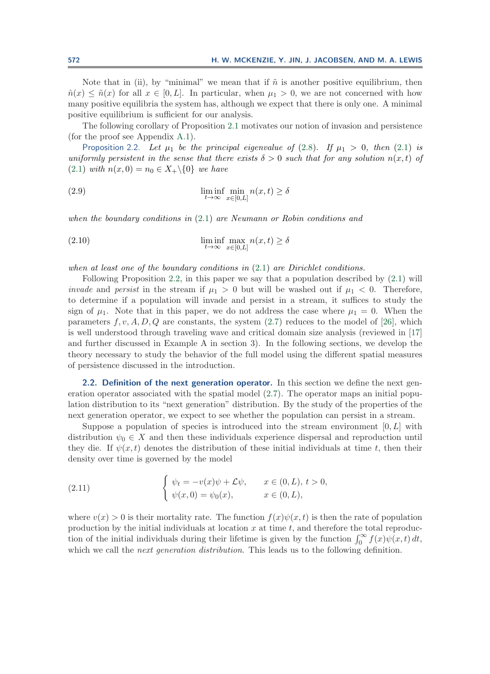Note that in (ii), by "minimal" we mean that if  $\tilde{n}$  is another positive equilibrium, then  $\hat{n}(x) \leq \tilde{n}(x)$  for all  $x \in [0, L]$ . In particular, when  $\mu_1 > 0$ , we are not concerned with how many positive equilibria the system has, although we expect that there is only one. A minimal positive equilibrium is sufficient for our analysis.

<span id="page-5-0"></span>The following corollary of Proposition [2.1](#page-4-1) motivates our notion of invasion and persistence (for the proof see Appendix [A.1\)](#page-20-0).

Proposition 2.2. *Let*  $\mu_1$  *be the principal eigenvalue of* [\(2.8\)](#page-4-0). *If*  $\mu_1 > 0$ *, then* [\(2.1\)](#page-3-0) *is uniformly persistent in the sense that there exists*  $\delta > 0$  *such that for any solution*  $n(x, t)$  *of*  $(2.1)$  *with*  $n(x, 0) = n_0 \in X_+ \setminus \{0\}$  *we have* 

(2.9) 
$$
\liminf_{t \to \infty} \min_{x \in [0,L]} n(x,t) \ge \delta
$$

*when the boundary conditions in* [\(2.1\)](#page-3-0) *are Neumann or Robin conditions and*

(2.10) 
$$
\liminf_{t \to \infty} \max_{x \in [0,L]} n(x,t) \ge \delta
$$

*when at least one of the boundary conditions in* [\(2.1\)](#page-3-0) *are Dirichlet conditions.*

Following Proposition [2.2,](#page-5-0) in this paper we say that a population described by [\(2.1\)](#page-3-0) will *invade* and *persist* in the stream if  $\mu_1 > 0$  but will be washed out if  $\mu_1 < 0$ . Therefore, to determine if a population will invade and persist in a stream, it suffices to study the sign of  $\mu_1$ . Note that in this paper, we do not address the case where  $\mu_1 = 0$ . When the parameters  $f, v, A, D, Q$  are constants, the system  $(2.7)$  reduces to the model of [\[26\]](#page-29-3), which is well understood through traveling wave and critical domain size analysis (reviewed in [\[17\]](#page-28-10) and further discussed in Example A in section 3). In the following sections, we develop the theory necessary to study the behavior of the full model using the different spatial measures of persistence discussed in the introduction.

**2.2. Definition of the next generation operator.** In this section we define the next generation operator associated with the spatial model [\(2.7\)](#page-4-2). The operator maps an initial population distribution to its "next generation" distribution. By the study of the properties of the next generation operator, we expect to see whether the population can persist in a stream.

Suppose a population of species is introduced into the stream environment  $[0, L]$  with distribution  $\psi_0 \in X$  and then these individuals experience dispersal and reproduction until they die. If  $\psi(x,t)$  denotes the distribution of these initial individuals at time t, then their density over time is governed by the model

<span id="page-5-1"></span>(2.11) 
$$
\begin{cases} \psi_t = -v(x)\psi + \mathcal{L}\psi, & x \in (0, L), t > 0, \\ \psi(x, 0) = \psi_0(x), & x \in (0, L), \end{cases}
$$

where  $v(x) > 0$  is their mortality rate. The function  $f(x)\psi(x, t)$  is then the rate of population production by the initial individuals at location  $x$  at time  $t$ , and therefore the total reproduction of the initial individuals during their lifetime is given by the function  $\int_0^\infty f(x)\psi(x,t) dt$ ,<br>which we call the next generation distribution. This leads us to the following definition which we call the *next generation distribution*. This leads us to the following definition.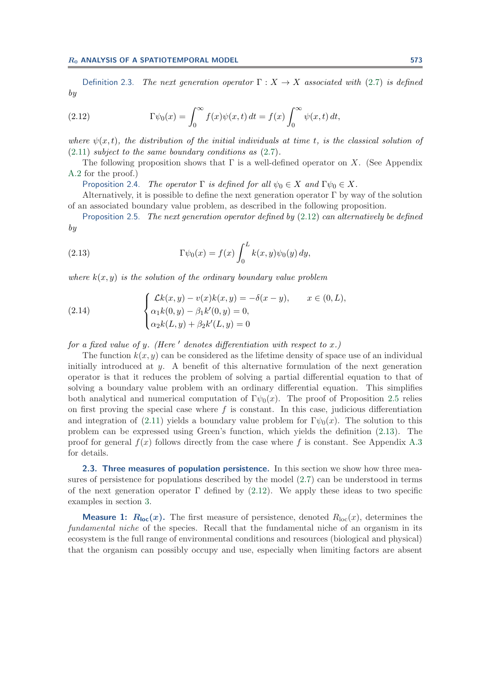Definition 2.3. *The next generation operator*  $\Gamma : X \to X$  *associated with* [\(2.7\)](#page-4-2) *is defined by*

<span id="page-6-0"></span>(2.12) 
$$
\Gamma \psi_0(x) = \int_0^\infty f(x) \psi(x, t) dt = f(x) \int_0^\infty \psi(x, t) dt,
$$

where  $\psi(x,t)$ *, the distribution of the initial individuals at time t, is the classical solution of* [\(2.11\)](#page-5-1) *subject to the same boundary conditions as* [\(2.7\)](#page-4-2)*.*

<span id="page-6-4"></span>The following proposition shows that  $\Gamma$  is a well-defined operator on X. (See Appendix [A.2](#page-21-0) for the proof.)

Proposition 2.4. *The operator*  $\Gamma$  *is defined for all*  $\psi_0 \in X$  *and*  $\Gamma \psi_0 \in X$ *.* 

<span id="page-6-1"></span>Alternatively, it is possible to define the next generation operator  $\Gamma$  by way of the solution of an associated boundary value problem, as described in the following proposition.

Proposition 2.5. *The next generation operator defined by* [\(2.12\)](#page-6-0) *can alternatively be defined by*

<span id="page-6-2"></span>(2.13) 
$$
\Gamma \psi_0(x) = f(x) \int_0^L k(x, y) \psi_0(y) dy,
$$

<span id="page-6-3"></span>*where*  $k(x, y)$  *is the solution of the ordinary boundary value problem* 

(2.14) 
$$
\begin{cases} \mathcal{L}k(x,y) - v(x)k(x,y) = -\delta(x-y), & x \in (0,L), \\ \alpha_1 k(0,y) - \beta_1 k'(0,y) = 0, \\ \alpha_2 k(L,y) + \beta_2 k'(L,y) = 0 \end{cases}
$$

*for a fixed value of y. (Here*  $\prime$  *denotes differentiation with respect to x.)* 

The function  $k(x, y)$  can be considered as the lifetime density of space use of an individual initially introduced at  $y$ . A benefit of this alternative formulation of the next generation operator is that it reduces the problem of solving a partial differential equation to that of solving a boundary value problem with an ordinary differential equation. This simplifies both analytical and numerical computation of  $\Gamma \psi_0(x)$ . The proof of Proposition [2.5](#page-6-1) relies on first proving the special case where  $f$  is constant. In this case, judicious differentiation and integration of [\(2.11\)](#page-5-1) yields a boundary value problem for  $\Gamma \psi_0(x)$ . The solution to this problem can be expressed using Green's function, which yields the definition [\(2.13\)](#page-6-2). The proof for general  $f(x)$  follows directly from the case where f is constant. See Appendix [A.3](#page-22-0) for details.

<span id="page-6-5"></span>**2.3. Three measures of population persistence.** In this section we show how three measures of persistence for populations described by the model [\(2.7\)](#page-4-2) can be understood in terms of the next generation operator  $\Gamma$  defined by [\(2.12\)](#page-6-0). We apply these ideas to two specific examples in section [3.](#page-11-0)

**Measure 1:**  $R_{\text{loc}}(x)$ . The first measure of persistence, denoted  $R_{\text{loc}}(x)$ , determines the *fundamental niche* of the species. Recall that the fundamental niche of an organism in its ecosystem is the full range of environmental conditions and resources (biological and physical) that the organism can possibly occupy and use, especially when limiting factors are absent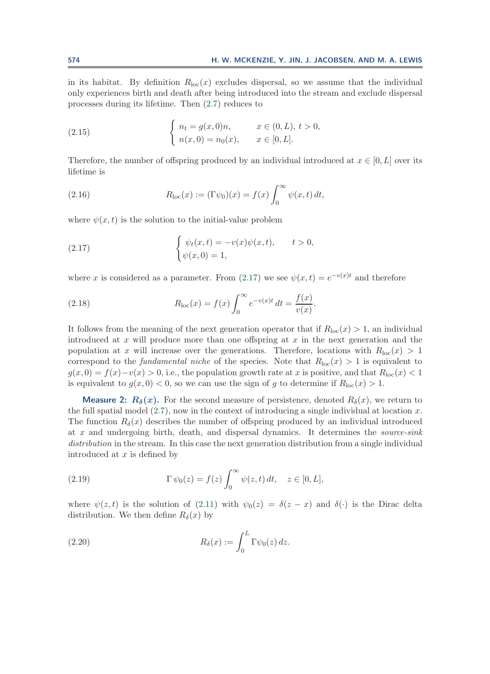in its habitat. By definition  $R_{\text{loc}}(x)$  excludes dispersal, so we assume that the individual only experiences birth and death after being introduced into the stream and exclude dispersal processes during its lifetime. Then [\(2.7\)](#page-4-2) reduces to

(2.15) 
$$
\begin{cases} n_t = g(x, 0)n, & x \in (0, L), t > 0, \\ n(x, 0) = n_0(x), & x \in [0, L]. \end{cases}
$$

Therefore, the number of offspring produced by an individual introduced at  $x \in [0, L]$  over its lifetime is

(2.16) 
$$
R_{\rm loc}(x) := (\Gamma \psi_0)(x) = f(x) \int_0^\infty \psi(x, t) dt,
$$

<span id="page-7-0"></span>where  $\psi(x, t)$  is the solution to the initial-value problem

(2.17) 
$$
\begin{cases} \psi_t(x,t) = -v(x)\psi(x,t), & t > 0, \\ \psi(x,0) = 1, \end{cases}
$$

where x is considered as a parameter. From [\(2.17\)](#page-7-0) we see  $\psi(x,t) = e^{-v(x)t}$  and therefore

(2.18) 
$$
R_{\text{loc}}(x) = f(x) \int_0^\infty e^{-v(x)t} dt = \frac{f(x)}{v(x)}.
$$

It follows from the meaning of the next generation operator that if  $R_{\text{loc}}(x) > 1$ , an individual introduced at x will produce more than one offspring at  $x$  in the next generation and the population at x will increase over the generations. Therefore, locations with  $R_{\text{loc}}(x) > 1$ correspond to the *fundamental niche* of the species. Note that  $R_{\text{loc}}(x) > 1$  is equivalent to  $g(x, 0) = f(x)-v(x) > 0$ , i.e., the population growth rate at x is positive, and that  $R_{loc}(x) < 1$ is equivalent to  $g(x, 0) < 0$ , so we can use the sign of g to determine if  $R_{\text{loc}}(x) > 1$ .

**Measure 2:**  $R_{\delta}(x)$ . For the second measure of persistence, denoted  $R_{\delta}(x)$ , we return to the full spatial model  $(2.7)$ , now in the context of introducing a single individual at location x. The function  $R_{\delta}(x)$  describes the number of offspring produced by an individual introduced at x and undergoing birth, death, and dispersal dynamics. It determines the *source-sink distribution* in the stream. In this case the next generation distribution from a single individual introduced at  $x$  is defined by

(2.19) 
$$
\Gamma \psi_0(z) = f(z) \int_0^\infty \psi(z, t) dt, \quad z \in [0, L],
$$

where  $\psi(z, t)$  is the solution of [\(2.11\)](#page-5-1) with  $\psi_0(z) = \delta(z - x)$  and  $\delta(\cdot)$  is the Dirac delta distribution. We then define  $R_\delta(x)$  by

(2.20) 
$$
R_{\delta}(x) := \int_0^L \Gamma \psi_0(z) dz.
$$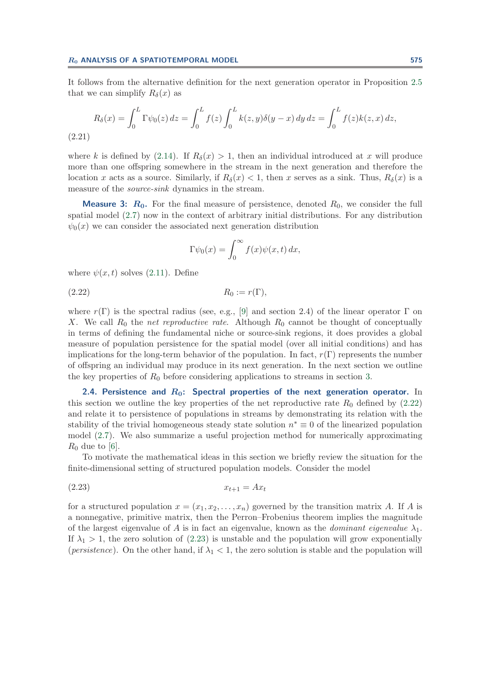It follows from the alternative definition for the next generation operator in Proposition [2.5](#page-6-1) that we can simplify  $R_\delta(x)$  as

$$
R_{\delta}(x) = \int_0^L \Gamma \psi_0(z) dz = \int_0^L f(z) \int_0^L k(z, y) \delta(y - x) dy dz = \int_0^L f(z)k(z, x) dz,
$$
\n(2.21)

where k is defined by [\(2.14\)](#page-6-3). If  $R_{\delta}(x) > 1$ , then an individual introduced at x will produce more than one offspring somewhere in the stream in the next generation and therefore the location x acts as a source. Similarly, if  $R_\delta(x) < 1$ , then x serves as a sink. Thus,  $R_\delta(x)$  is a measure of the *source-sink* dynamics in the stream.

**Measure 3:**  $R_0$ . For the final measure of persistence, denoted  $R_0$ , we consider the full spatial model [\(2.7\)](#page-4-2) now in the context of arbitrary initial distributions. For any distribution  $\psi_0(x)$  we can consider the associated next generation distribution

<span id="page-8-1"></span>
$$
\Gamma \psi_0(x) = \int_0^\infty f(x) \psi(x, t) \, dx,
$$

where  $\psi(x, t)$  solves [\(2.11\)](#page-5-1). Define

<span id="page-8-0"></span>
$$
(2.22) \t\t R_0 := r(\Gamma),
$$

where  $r(\Gamma)$  is the spectral radius (see, e.g., [\[9\]](#page-28-5) and section 2.4) of the linear operator  $\Gamma$  on X. We call  $R_0$  the *net reproductive rate*. Although  $R_0$  cannot be thought of conceptually in terms of defining the fundamental niche or source-sink regions, it does provides a global measure of population persistence for the spatial model (over all initial conditions) and has implications for the long-term behavior of the population. In fact,  $r(\Gamma)$  represents the number of offspring an individual may produce in its next generation. In the next section we outline the key properties of  $R_0$  before considering applications to streams in section [3.](#page-11-0)

<span id="page-8-2"></span>**2.4. Persistence and** *R***0: Spectral properties of the next generation operator.** In this section we outline the key properties of the net reproductive rate  $R_0$  defined by [\(2.22\)](#page-8-0) and relate it to persistence of populations in streams by demonstrating its relation with the stability of the trivial homogeneous steady state solution  $n^* \equiv 0$  of the linearized population model [\(2.7\)](#page-4-2). We also summarize a useful projection method for numerically approximating  $R_0$  due to [\[6\]](#page-28-11).

To motivate the mathematical ideas in this section we briefly review the situation for the finite-dimensional setting of structured population models. Consider the model

$$
(2.23) \t\t\t x_{t+1} = Ax_t
$$

for a structured population  $x = (x_1, x_2, \ldots, x_n)$  governed by the transition matrix A. If A is a nonnegative, primitive matrix, then the Perron–Frobenius theorem implies the magnitude of the largest eigenvalue of A is in fact an eigenvalue, known as the *dominant eigenvalue*  $\lambda_1$ . If  $\lambda_1 > 1$ , the zero solution of [\(2.23\)](#page-8-1) is unstable and the population will grow exponentially (*persistence*). On the other hand, if  $\lambda_1 < 1$ , the zero solution is stable and the population will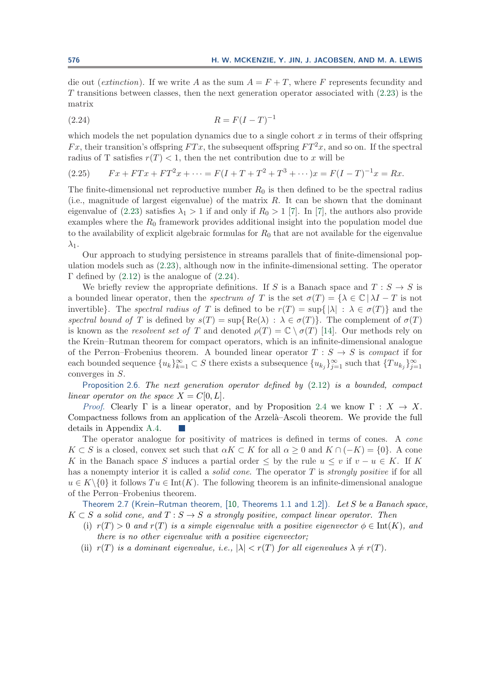die out *(extinction)*. If we write A as the sum  $A = F + T$ , where F represents fecundity and T transitions between classes, then the next generation operator associated with  $(2.23)$  is the matrix

<span id="page-9-0"></span>
$$
(2.24) \t\t R = F(I-T)^{-1}
$$

which models the net population dynamics due to a single cohort  $x$  in terms of their offspring  $Fx$ , their transition's offspring  $FTx$ , the subsequent offspring  $FT^2x$ , and so on. If the spectral radius of T satisfies  $r(T) < 1$ , then the net contribution due to x will be

$$
(2.25) \qquad Fx + FTx + FT^2x + \dots = F(I + T + T^2 + T^3 + \dots)x = F(I - T)^{-1}x = Rx.
$$

The finite-dimensional net reproductive number  $R_0$  is then defined to be the spectral radius (i.e., magnitude of largest eigenvalue) of the matrix R. It can be shown that the dominant eigenvalue of [\(2.23\)](#page-8-1) satisfies  $\lambda_1 > 1$  if and only if  $R_0 > 1$  [\[7\]](#page-28-8). In [7], the authors also provide examples where the  $R_0$  framework provides additional insight into the population model due to the availability of explicit algebraic formulas for  $R_0$  that are not available for the eigenvalue  $\lambda_1$ .

Our approach to studying persistence in streams parallels that of finite-dimensional population models such as [\(2.23\)](#page-8-1), although now in the infinite-dimensional setting. The operator Γ defined by  $(2.12)$  is the analogue of  $(2.24)$ .

We briefly review the appropriate definitions. If S is a Banach space and  $T : S \to S$  is a bounded linear operator, then the *spectrum of* T is the set  $\sigma(T) = {\lambda \in \mathbb{C} | \lambda I - T}$  is not invertible}. The *spectral radius of* T is defined to be  $r(T) = \sup\{ |\lambda| : \lambda \in \sigma(T) \}$  and the *spectral bound of* T is defined by  $s(T) = \sup\{Re(\lambda) : \lambda \in \sigma(T)\}\$ . The complement of  $\sigma(T)$ is known as the *resolvent set of* T and denoted  $\rho(T) = \mathbb{C} \setminus \sigma(T)$  [\[14\]](#page-28-12). Our methods rely on the Krein–Rutman theorem for compact operators, which is an infinite-dimensional analogue of the Perron–Frobenius theorem. A bounded linear operator  $T : S \rightarrow S$  is *compact* if for each bounded sequence  ${u_k}_{k=1}^{\infty} \subset S$  there exists a subsequence  ${u_{k_j}}_{j=1}^{\infty}$  such that  ${Tu_{k_j}}_{j=1}^{\infty}$ converges in S.

<span id="page-9-1"></span>Proposition 2.6. *The next generation operator defined by* [\(2.12\)](#page-6-0) *is a bounded, compact linear operator on the space*  $X = C[0, L]$ *.* 

*Proof.* Clearly Γ is a linear operator, and by Proposition [2.4](#page-6-4) we know  $\Gamma : X \to X$ . Compactness follows from an application of the Arzelà–Ascoli theorem. We provide the full details in Appendix [A.4.](#page-23-0)

The operator analogue for positivity of matrices is defined in terms of cones. A *cone*  $K \subset S$  is a closed, convex set such that  $\alpha K \subset K$  for all  $\alpha \geq 0$  and  $K \cap (-K) = \{0\}$ . A cone K in the Banach space S induces a partial order  $\leq$  by the rule  $u \leq v$  if  $v - u \in K$ . If K has a nonempty interior it is called a *solid cone*. The operator T is *strongly positive* if for all  $u \in K \setminus \{0\}$  it follows  $Tu \in \text{Int}(K)$ . The following theorem is an infinite-dimensional analogue of the Perron–Frobenius theorem.

<span id="page-9-2"></span>Theorem 2.7 (Krein–Rutman theorem, [\[10,](#page-28-13) Theorems 1.1 and 1.2]). *Let* S *be a Banach space,*  $K \subset S$  *a solid cone, and*  $T : S \to S$  *a strongly positive, compact linear operator. Then* 

- (i)  $r(T) > 0$  and  $r(T)$  is a simple eigenvalue with a positive eigenvector  $\phi \in \text{Int}(K)$ , and *there is no other eigenvalue with a positive eigenvector;*
- (ii)  $r(T)$  *is a dominant eigenvalue, i.e.,*  $|\lambda| < r(T)$  *for all eigenvalues*  $\lambda \neq r(T)$ *.*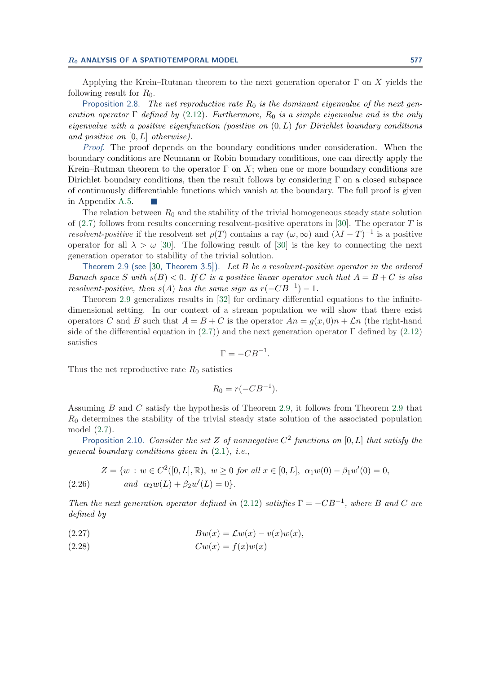#### *R***<sup>0</sup> ANALYSIS OF A SPATIOTEMPORAL MODEL 577**

<span id="page-10-2"></span>Applying the Krein–Rutman theorem to the next generation operator  $\Gamma$  on X yields the following result for  $R_0$ .

Proposition 2.8. *The net reproductive rate*  $R_0$  *is the dominant eigenvalue of the next generation operator*  $\Gamma$  *defined by* [\(2.12\)](#page-6-0)*. Furthermore,*  $R_0$  *is a simple eigenvalue and is the only eigenvalue with a positive eigenfunction (positive on* (0, L) *for Dirichlet boundary conditions and positive on* [0, L] *otherwise).*

*Proof*. The proof depends on the boundary conditions under consideration. When the boundary conditions are Neumann or Robin boundary conditions, one can directly apply the Krein–Rutman theorem to the operator  $\Gamma$  on X; when one or more boundary conditions are Dirichlet boundary conditions, then the result follows by considering  $\Gamma$  on a closed subspace of continuously differentiable functions which vanish at the boundary. The full proof is given in Appendix [A.5.](#page-24-0)

The relation between  $R_0$  and the stability of the trivial homogeneous steady state solution of  $(2.7)$  follows from results concerning resolvent-positive operators in [\[30\]](#page-29-12). The operator T is *resolvent-positive* if the resolvent set  $\rho(T)$  contains a ray  $(\omega,\infty)$  and  $(\lambda I - T)^{-1}$  is a positive operator for all  $\lambda > \omega$  [\[30\]](#page-29-12). The following result of [30] is the key to connecting the next generation operator to stability of the trivial solution.

<span id="page-10-0"></span>Theorem 2.9 (see [\[30,](#page-29-12) Theorem 3.5]). *Let* B *be a resolvent-positive operator in the ordered Banach space* S with  $s(B) < 0$ . If C is a positive linear operator such that  $A = B + C$  is also *resolvent-positive, then*  $s(A)$  *has the same sign as*  $r(-CB^{-1}) - 1$ *.* 

Theorem [2.9](#page-10-0) generalizes results in [\[32\]](#page-29-8) for ordinary differential equations to the infinitedimensional setting. In our context of a stream population we will show that there exist operators C and B such that  $A = B + C$  is the operator  $An = q(x, 0)n + Ln$  (the right-hand side of the differential equation in [\(2.7\)](#page-4-2)) and the next generation operator  $\Gamma$  defined by [\(2.12\)](#page-6-0) satisfies

$$
\Gamma = -CB^{-1}.
$$

Thus the net reproductive rate  $R_0$  satisties

$$
R_0 = r(-CB^{-1}).
$$

Assuming B and C satisfy the hypothesis of Theorem [2.9,](#page-10-0) it follows from Theorem [2.9](#page-10-0) that  $R_0$  determines the stability of the trivial steady state solution of the associated population model [\(2.7\)](#page-4-2).

Proposition 2.10. *Consider the set* Z *of nonnegative* C<sup>2</sup> *functions on* [0, L] *that satisfy the general boundary conditions given in* [\(2.1\)](#page-3-0)*, i.e.,*

$$
Z = \{w : w \in C^2([0, L], \mathbb{R}), w \ge 0 \text{ for all } x \in [0, L], \alpha_1 w(0) - \beta_1 w'(0) = 0, and \alpha_2 w(L) + \beta_2 w'(L) = 0\}.
$$

*Then the next generation operator defined in* [\(2.12\)](#page-6-0) *satisfies*  $\Gamma = -CB^{-1}$ *, where* B and C are *defined by*

- (2.27)  $Bw(x) = \mathcal{L}w(x) v(x)w(x),$
- <span id="page-10-1"></span>(2.28)  $Cw(x) = f(x)w(x)$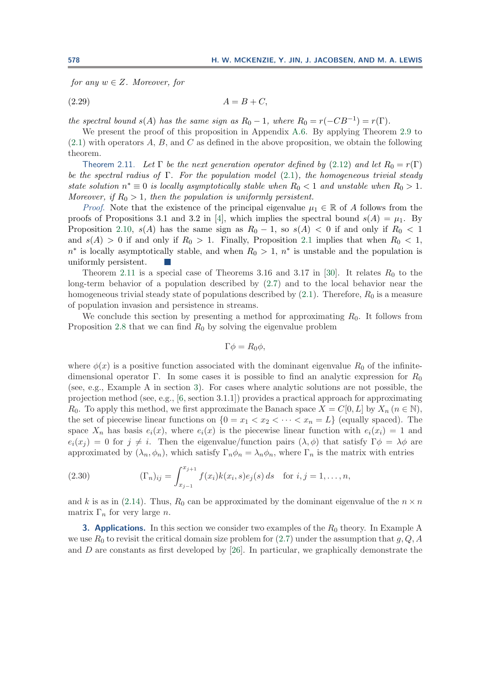*for any* w ∈ Z*. Moreover, for*

 $(A = B + C,$ 

*the spectral bound*  $s(A)$  *has the same sign as*  $R_0 - 1$ *, where*  $R_0 = r(-CB^{-1}) = r(\Gamma)$ *.* 

We present the proof of this proposition in Appendix [A.6.](#page-25-0) By applying Theorem [2.9](#page-10-0) to  $(2.1)$  with operators A, B, and C as defined in the above proposition, we obtain the following theorem.

<span id="page-11-1"></span>Theorem 2.11. Let  $\Gamma$  *be the next generation operator defined by* [\(2.12\)](#page-6-0) *and let*  $R_0 = r(\Gamma)$ *be the spectral radius of* Γ*. For the population model* [\(2.1\)](#page-3-0)*, the homogeneous trivial steady state solution*  $n^* \equiv 0$  *is locally asymptotically stable when*  $R_0 < 1$  *and unstable when*  $R_0 > 1$ *. Moreover, if*  $R_0 > 1$ *, then the population is uniformly persistent.* 

*Proof.* Note that the existence of the principal eigenvalue  $\mu_1 \in \mathbb{R}$  of A follows from the proofs of Propositions 3.1 and 3.2 in [\[4\]](#page-28-9), which implies the spectral bound  $s(A) = \mu_1$ . By Proposition [2.10,](#page-10-1)  $s(A)$  has the same sign as  $R_0 - 1$ , so  $s(A) < 0$  if and only if  $R_0 < 1$ and  $s(A) > 0$  if and only if  $R_0 > 1$ . Finally, Proposition [2.1](#page-4-1) implies that when  $R_0 < 1$ ,  $n^*$  is locally asymptotically stable, and when  $R_0 > 1$ ,  $n^*$  is unstable and the population is uniformly persistent.

Theorem [2.11](#page-11-1) is a special case of Theorems 3.16 and 3.17 in [\[30\]](#page-29-12). It relates  $R_0$  to the long-term behavior of a population described by [\(2.7\)](#page-4-2) and to the local behavior near the homogeneous trivial steady state of populations described by  $(2.1)$ . Therefore,  $R_0$  is a measure of population invasion and persistence in streams.

We conclude this section by presenting a method for approximating  $R_0$ . It follows from Proposition [2.8](#page-10-2) that we can find  $R_0$  by solving the eigenvalue problem

$$
\Gamma \phi = R_0 \phi,
$$

where  $\phi(x)$  is a positive function associated with the dominant eigenvalue  $R_0$  of the infinitedimensional operator Γ. In some cases it is possible to find an analytic expression for  $R_0$ (see, e.g., Example A in section [3\)](#page-11-0). For cases where analytic solutions are not possible, the projection method (see, e.g., [\[6,](#page-28-11) section 3.1.1]) provides a practical approach for approximating  $R_0$ . To apply this method, we first approximate the Banach space  $X = C[0, L]$  by  $X_n$   $(n \in \mathbb{N})$ , the set of piecewise linear functions on  $\{0 = x_1 < x_2 < \cdots < x_n = L\}$  (equally spaced). The space  $X_n$  has basis  $e_i(x)$ , where  $e_i(x)$  is the piecewise linear function with  $e_i(x_i) = 1$  and  $e_i(x_j) = 0$  for  $j \neq i$ . Then the eigenvalue/function pairs  $(\lambda, \phi)$  that satisfy  $\Gamma \phi = \lambda \phi$  are approximated by  $(\lambda_n, \phi_n)$ , which satisfy  $\Gamma_n \phi_n = \lambda_n \phi_n$ , where  $\Gamma_n$  is the matrix with entries

(2.30) 
$$
(\Gamma_n)_{ij} = \int_{x_{j-1}}^{x_{j+1}} f(x_i) k(x_i, s) e_j(s) ds \text{ for } i, j = 1, ..., n,
$$

and k is as in [\(2.14\)](#page-6-3). Thus,  $R_0$  can be approximated by the dominant eigenvalue of the  $n \times n$ matrix  $\Gamma_n$  for very large *n*.

<span id="page-11-0"></span>**3. Applications.** In this section we consider two examples of the  $R_0$  theory. In Example A we use  $R_0$  to revisit the critical domain size problem for  $(2.7)$  under the assumption that  $g, Q, A$ and  $D$  are constants as first developed by [\[26\]](#page-29-3). In particular, we graphically demonstrate the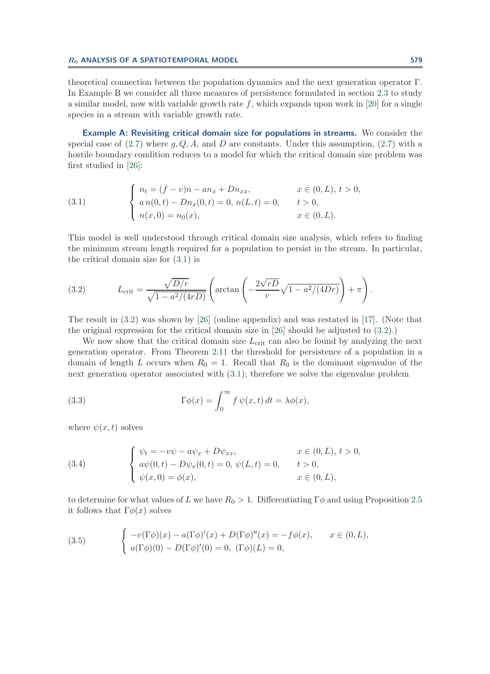### *R***<sup>0</sup> ANALYSIS OF A SPATIOTEMPORAL MODEL 579**

theoretical connection between the population dynamics and the next generation operator Γ. In Example B we consider all three measures of persistence formulated in section [2.3](#page-6-5) to study a similar model, now with variable growth rate  $f$ , which expands upon work in [\[20\]](#page-29-6) for a single species in a stream with variable growth rate.

**Example A: Revisiting critical domain size for populations in streams.** We consider the special case of  $(2.7)$  where  $g, Q, A$ , and D are constants. Under this assumption,  $(2.7)$  with a hostile boundary condition reduces to a model for which the critical domain size problem was first studied in [\[26\]](#page-29-3):

<span id="page-12-0"></span>(3.1) 
$$
\begin{cases} n_t = (f - v)n - an_x + Dn_{xx}, & x \in (0, L), t > 0, \\ a n(0, t) - Dn_x(0, t) = 0, n(L, t) = 0, & t > 0, \\ n(x, 0) = n_0(x), & x \in (0, L). \end{cases}
$$

This model is well understood through critical domain size analysis, which refers to finding the minimum stream length required for a population to persist in the stream. In particular, the critical domain size for [\(3.1\)](#page-12-0) is

<span id="page-12-1"></span>(3.2) 
$$
L_{\text{crit}} = \frac{\sqrt{D/r}}{\sqrt{1 - a^2/(4rD)}} \left( \arctan\left( -\frac{2\sqrt{rD}}{v} \sqrt{1 - a^2/(4Dr)} \right) + \pi \right).
$$

The result in [\(3.2\)](#page-12-1) was shown by [\[26\]](#page-29-3) (online appendix) and was restated in [\[17\]](#page-28-10). (Note that the original expression for the critical domain size in [\[26\]](#page-29-3) should be adjusted to [\(3.2\)](#page-12-1).)

We now show that the critical domain size  $L_{\text{crit}}$  can also be found by analyzing the next generation operator. From Theorem [2.11](#page-11-1) the threshold for persistence of a population in a domain of length L occurs when  $R_0 = 1$ . Recall that  $R_0$  is the dominant eigenvalue of the next generation operator associated with [\(3.1\)](#page-12-0); therefore we solve the eigenvalue problem

<span id="page-12-2"></span>(3.3) 
$$
\Gamma \phi(x) = \int_0^\infty f \psi(x, t) dt = \lambda \phi(x),
$$

<span id="page-12-3"></span>where  $\psi(x, t)$  solves

(3.4) 
$$
\begin{cases} \psi_t = -v\psi - a\psi_x + D\psi_{xx}, & x \in (0, L), t > 0, \\ a\psi(0, t) - D\psi_x(0, t) = 0, & \psi(L, t) = 0, \quad t > 0, \\ \psi(x, 0) = \phi(x), & x \in (0, L), \end{cases}
$$

to determine for what values of L we have  $R_0 > 1$ . Differentiating  $\Gamma \phi$  and using Proposition [2.5](#page-6-1) it follows that  $\Gamma \phi(x)$  solves

(3.5) 
$$
\begin{cases}\n-v(\Gamma\phi)(x) - a(\Gamma\phi)'(x) + D(\Gamma\phi)''(x) = -f\phi(x), & x \in (0, L), \\
a(\Gamma\phi)(0) - D(\Gamma\phi)'(0) = 0, & (\Gamma\phi)(L) = 0,\n\end{cases}
$$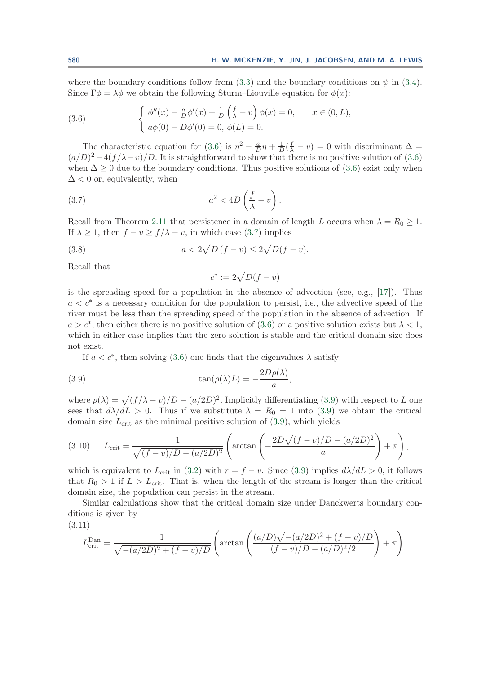where the boundary conditions follow from [\(3.3\)](#page-12-2) and the boundary conditions on  $\psi$  in [\(3.4\)](#page-12-3). Since  $\Gamma \phi = \lambda \phi$  we obtain the following Sturm–Liouville equation for  $\phi(x)$ :

(3.6) 
$$
\begin{cases} \phi''(x) - \frac{a}{D}\phi'(x) + \frac{1}{D}\left(\frac{f}{\lambda} - v\right)\phi(x) = 0, & x \in (0, L), \\ a\phi(0) - D\phi'(0) = 0, & \phi(L) = 0. \end{cases}
$$

The characteristic equation for [\(3.6\)](#page-13-0) is  $\eta^2 - \frac{a}{D}\eta + \frac{1}{D}(\frac{f}{\lambda} - v) = 0$  with discriminant  $\Delta =$  $(a/D)^2 - 4(f/\lambda - v)/D$ . It is straightforward to show that there is no positive solution of [\(3.6\)](#page-13-0) when  $\Delta \geq 0$  due to the boundary conditions. Thus positive solutions of [\(3.6\)](#page-13-0) exist only when  $\Delta$  < 0 or, equivalently, when

$$
(3.7) \t a2 < 4D\left(\frac{f}{\lambda} - v\right).
$$

Recall from Theorem [2.11](#page-11-1) that persistence in a domain of length L occurs when  $\lambda = R_0 \ge 1$ . If  $\lambda \geq 1$ , then  $f - v \geq f/\lambda - v$ , in which case [\(3.7\)](#page-13-1) implies

(3.8) 
$$
a < 2\sqrt{D(f - v)} \le 2\sqrt{D(f - v)}.
$$

Recall that

(3.11)

<span id="page-13-1"></span><span id="page-13-0"></span>
$$
c^* := 2\sqrt{D(f - v)}
$$

is the spreading speed for a population in the absence of advection (see, e.g.,  $[17]$ ). Thus  $a < c^*$  is a necessary condition for the population to persist, i.e., the advective speed of the river must be less than the spreading speed of the population in the absence of advection. If  $a>c^*$ , then either there is no positive solution of [\(3.6\)](#page-13-0) or a positive solution exists but  $\lambda < 1$ , which in either case implies that the zero solution is stable and the critical domain size does not exist.

If  $a < c^*$ , then solving [\(3.6\)](#page-13-0) one finds that the eigenvalues  $\lambda$  satisfy

<span id="page-13-2"></span>(3.9) 
$$
\tan(\rho(\lambda)L) = -\frac{2D\rho(\lambda)}{a},
$$

where  $\rho(\lambda) = \sqrt{\frac{f}{\lambda - v}} D - \frac{a}{2D)^2}$ . Implicitly differentiating [\(3.9\)](#page-13-2) with respect to L one sees that  $d\lambda/dL > 0$ . Thus if we substitute  $\lambda = R_0 = 1$  into [\(3.9\)](#page-13-2) we obtain the critical domain size  $L_{\text{crit}}$  as the minimal positive solution of  $(3.9)$ , which yields

(3.10) 
$$
L_{\text{crit}} = \frac{1}{\sqrt{(f-v)/D - (a/2D)^2}} \left( \arctan\left( -\frac{2D\sqrt{(f-v)/D - (a/2D)^2}}{a} \right) + \pi \right),
$$

which is equivalent to  $L_{\text{crit}}$  in [\(3.2\)](#page-12-1) with  $r = f - v$ . Since [\(3.9\)](#page-13-2) implies  $d\lambda/dL > 0$ , it follows that  $R_0 > 1$  if  $L > L_{\text{crit}}$ . That is, when the length of the stream is longer than the critical domain size, the population can persist in the stream.

Similar calculations show that the critical domain size under Danckwerts boundary conditions is given by

$$
L_{\rm crit}^{\rm Dan} = \frac{1}{\sqrt{-(a/2D)^2 + (f - v)/D}} \left( \arctan\left( \frac{(a/D)\sqrt{-(a/2D)^2 + (f - v)/D}}{(f - v)/D - (a/D)^2/2} \right) + \pi \right).
$$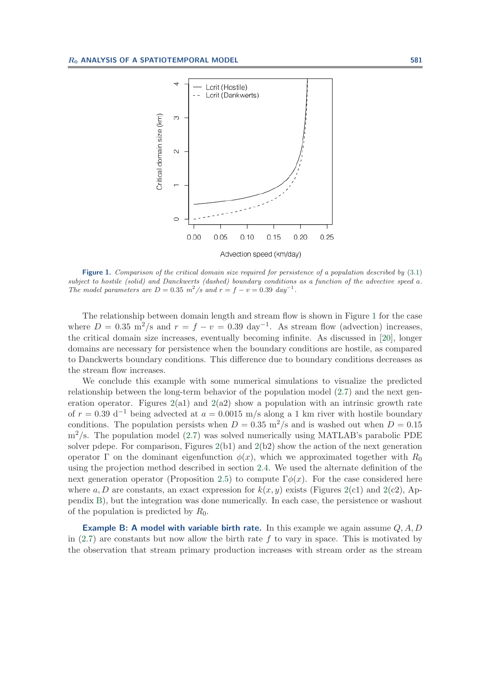

<span id="page-14-0"></span>**Figure 1.** Comparison of the critical domain size required for persistence of a population described by [\(3.1\)](#page-12-0) subject to hostile (solid) and Danckwerts (dashed) boundary conditions as a function of the advective speed a. The model parameters are  $D = 0.35$   $m^2/s$  and  $r = f - v = 0.39$  day<sup>-1</sup>.

The relationship between domain length and stream flow is shown in Figure [1](#page-14-0) for the case where  $D = 0.35 \text{ m}^2/\text{s}$  and  $r = f - v = 0.39 \text{ day}^{-1}$ . As stream flow (advection) increases, the critical domain size increases, eventually becoming infinite. As discussed in [\[20\]](#page-29-6), longer domains are necessary for persistence when the boundary conditions are hostile, as compared to Danckwerts boundary conditions. This difference due to boundary conditions decreases as the stream flow increases.

We conclude this example with some numerical simulations to visualize the predicted relationship between the long-term behavior of the population model [\(2.7\)](#page-4-2) and the next generation operator. Figures  $2(a1)$  $2(a1)$  and  $2(a2)$  show a population with an intrinsic growth rate of  $r = 0.39$  d<sup>-1</sup> being advected at  $a = 0.0015$  m/s along a 1 km river with hostile boundary conditions. The population persists when  $D = 0.35$  m<sup>2</sup>/s and is washed out when  $D = 0.15$  $m^2$ /s. The population model [\(2.7\)](#page-4-2) was solved numerically using MATLAB's parabolic PDE solver pdepe. For comparison, Figures  $2(b1)$  $2(b1)$  and  $2(b2)$  show the action of the next generation operator Γ on the dominant eigenfunction  $\phi(x)$ , which we approximated together with  $R_0$ using the projection method described in section [2.4.](#page-8-2) We used the alternate definition of the next generation operator (Proposition [2.5\)](#page-6-1) to compute  $\Gamma \phi(x)$ . For the case considered here where a, D are constants, an exact expression for  $k(x, y)$  exists (Figures [2\(](#page-15-0)c1) and 2(c2), Appendix [B\)](#page-26-0), but the integration was done numerically. In each case, the persistence or washout of the population is predicted by  $R_0$ .

**Example B: A model with variable birth rate.** In this example we again assume Q, A, D in  $(2.7)$  are constants but now allow the birth rate f to vary in space. This is motivated by the observation that stream primary production increases with stream order as the stream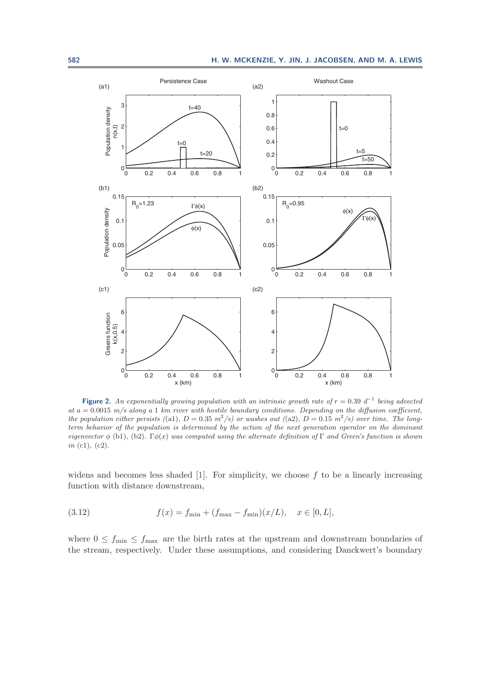

<span id="page-15-0"></span>**Figure 2.** An exponentially growing population with an intrinsic growth rate of  $r = 0.39$  d<sup>-1</sup> being advected at  $a = 0.0015$  m/s along a 1 km river with hostile boundary conditions. Depending on the diffusion coefficient, the population either persists ((a1),  $D = 0.35~m^2/s$ ) or washes out ((a2),  $D = 0.15~m^2/s$ ) over time. The longterm behavior of the population is determined by the action of the next generation operator on the dominant eigenvector  $\phi$  (b1), (b2). Γ $\phi(x)$  was computed using the alternate definition of Γ and Green's function is shown  $in (c1), (c2).$ 

widens and becomes less shaded [\[1\]](#page-28-14). For simplicity, we choose  $f$  to be a linearly increasing function with distance downstream,

(3.12) 
$$
f(x) = f_{\min} + (f_{\max} - f_{\min})(x/L), \quad x \in [0, L],
$$

where  $0 \le f_{\text{min}} \le f_{\text{max}}$  are the birth rates at the upstream and downstream boundaries of the stream, respectively. Under these assumptions, and considering Danckwert's boundary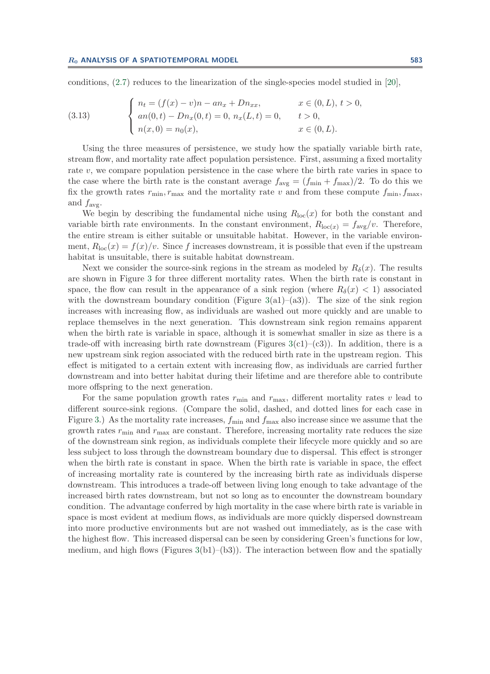conditions, [\(2.7\)](#page-4-2) reduces to the linearization of the single-species model studied in [\[20\]](#page-29-6),

(3.13) 
$$
\begin{cases} n_t = (f(x) - v)n - an_x + Dn_{xx}, & x \in (0, L), t > 0, \\ an(0, t) - Dn_x(0, t) = 0, n_x(L, t) = 0, & t > 0, \\ n(x, 0) = n_0(x), & x \in (0, L). \end{cases}
$$

Using the three measures of persistence, we study how the spatially variable birth rate, stream flow, and mortality rate affect population persistence. First, assuming a fixed mortality rate  $v$ , we compare population persistence in the case where the birth rate varies in space to the case where the birth rate is the constant average  $f_{\text{avg}} = (f_{\text{min}} + f_{\text{max}})/2$ . To do this we fix the growth rates  $r_{\text{min}}$ ,  $r_{\text{max}}$  and the mortality rate v and from these compute  $f_{\text{min}}$ ,  $f_{\text{max}}$ , and  $f_{\text{avg}}$ .

We begin by describing the fundamental niche using  $R_{\text{loc}}(x)$  for both the constant and variable birth rate environments. In the constant environment,  $R_{\text{loc}(x)} = f_{\text{avg}}/v$ . Therefore, the entire stream is either suitable or unsuitable habitat. However, in the variable environment,  $R_{\text{loc}}(x) = f(x)/v$ . Since f increases downstream, it is possible that even if the upstream habitat is unsuitable, there is suitable habitat downstream.

Next we consider the source-sink regions in the stream as modeled by  $R_{\delta}(x)$ . The results are shown in Figure [3](#page-17-0) for three different mortality rates. When the birth rate is constant in space, the flow can result in the appearance of a sink region (where  $R_{\delta}(x) < 1$ ) associated with the downstream boundary condition (Figure  $3(a1)-(a3)$  $3(a1)-(a3)$ ). The size of the sink region increases with increasing flow, as individuals are washed out more quickly and are unable to replace themselves in the next generation. This downstream sink region remains apparent when the birth rate is variable in space, although it is somewhat smaller in size as there is a trade-off with increasing birth rate downstream (Figures  $3(c1)-(c3)$  $3(c1)-(c3)$ ). In addition, there is a new upstream sink region associated with the reduced birth rate in the upstream region. This effect is mitigated to a certain extent with increasing flow, as individuals are carried further downstream and into better habitat during their lifetime and are therefore able to contribute more offspring to the next generation.

For the same population growth rates  $r_{\text{min}}$  and  $r_{\text{max}}$ , different mortality rates v lead to different source-sink regions. (Compare the solid, dashed, and dotted lines for each case in Figure [3.](#page-17-0)) As the mortality rate increases,  $f_{\text{min}}$  and  $f_{\text{max}}$  also increase since we assume that the growth rates  $r_{\text{min}}$  and  $r_{\text{max}}$  are constant. Therefore, increasing mortality rate reduces the size of the downstream sink region, as individuals complete their lifecycle more quickly and so are less subject to loss through the downstream boundary due to dispersal. This effect is stronger when the birth rate is constant in space. When the birth rate is variable in space, the effect of increasing mortality rate is countered by the increasing birth rate as individuals disperse downstream. This introduces a trade-off between living long enough to take advantage of the increased birth rates downstream, but not so long as to encounter the downstream boundary condition. The advantage conferred by high mortality in the case where birth rate is variable in space is most evident at medium flows, as individuals are more quickly dispersed downstream into more productive environments but are not washed out immediately, as is the case with the highest flow. This increased dispersal can be seen by considering Green's functions for low, medium, and high flows (Figures  $3(b1)$  $3(b1)$ – $(b3)$ ). The interaction between flow and the spatially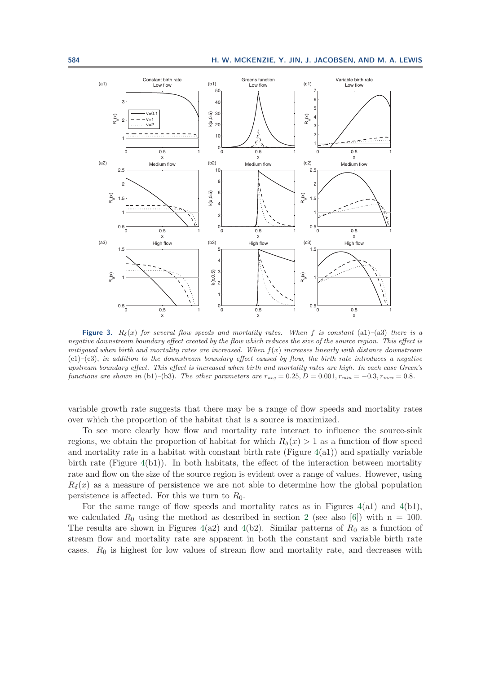

<span id="page-17-0"></span>**Figure 3.**  $R_{\delta}(x)$  for several flow speeds and mortality rates. When f is constant (a1)–(a3) there is a negative downstream boundary effect created by the flow which reduces the size of the source region. This effect is mitigated when birth and mortality rates are increased. When  $f(x)$  increases linearly with distance downstream  $(c1)$ – $(c3)$ , in addition to the downstream boundary effect caused by flow, the birth rate introduces a negative upstream boundary effect. This effect is increased when birth and mortality rates are high. In each case Green's functions are shown in (b1)–(b3). The other parameters are  $r_{avg} = 0.25, D = 0.001, r_{min} = -0.3, r_{max} = 0.8$ .

variable growth rate suggests that there may be a range of flow speeds and mortality rates over which the proportion of the habitat that is a source is maximized.

To see more clearly how flow and mortality rate interact to influence the source-sink regions, we obtain the proportion of habitat for which  $R_{\delta}(x) > 1$  as a function of flow speed and mortality rate in a habitat with constant birth rate (Figure  $4(a1)$  $4(a1)$ ) and spatially variable birth rate (Figure  $4(b1)$  $4(b1)$ ). In both habitats, the effect of the interaction between mortality rate and flow on the size of the source region is evident over a range of values. However, using  $R_{\delta}(x)$  as a measure of persistence we are not able to determine how the global population persistence is affected. For this we turn to  $R_0$ .

For the same range of flow speeds and mortality rates as in Figures  $4(a1)$  $4(a1)$  and  $4(b1)$ , we calculated  $R_0$  using the method as described in section [2](#page-3-3) (see also [\[6\]](#page-28-11)) with  $n = 100$ . The results are shown in Figures [4\(](#page-18-0)a2) and 4(b2). Similar patterns of  $R_0$  as a function of stream flow and mortality rate are apparent in both the constant and variable birth rate cases.  $R_0$  is highest for low values of stream flow and mortality rate, and decreases with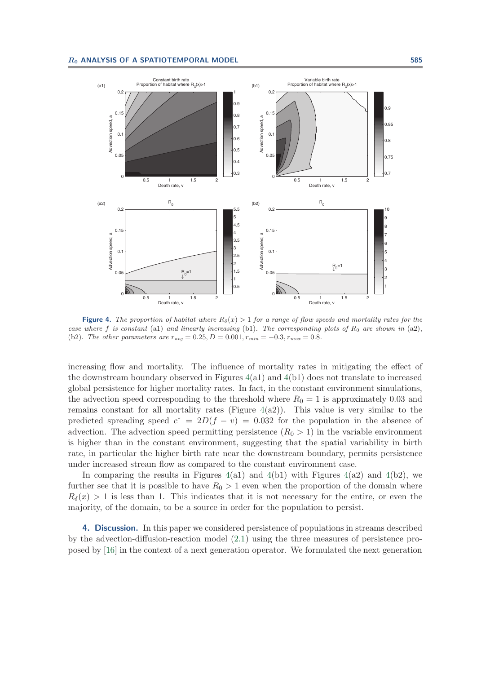

<span id="page-18-0"></span>**Figure 4.** The proportion of habitat where  $R_{\delta}(x) > 1$  for a range of flow speeds and mortality rates for the case where f is constant (a1) and linearly increasing (b1). The corresponding plots of  $R_0$  are shown in (a2), (b2). The other parameters are  $r_{avg} = 0.25, D = 0.001, r_{min} = -0.3, r_{max} = 0.8$ .

increasing flow and mortality. The influence of mortality rates in mitigating the effect of the downstream boundary observed in Figures  $4(a1)$  $4(a1)$  and  $4(b1)$  does not translate to increased global persistence for higher mortality rates. In fact, in the constant environment simulations, the advection speed corresponding to the threshold where  $R_0 = 1$  is approximately 0.03 and remains constant for all mortality rates (Figure  $4(a2)$  $4(a2)$ ). This value is very similar to the predicted spreading speed  $c^* = 2D(f - v) = 0.032$  for the population in the absence of advection. The advection speed permitting persistence  $(R_0 > 1)$  in the variable environment is higher than in the constant environment, suggesting that the spatial variability in birth rate, in particular the higher birth rate near the downstream boundary, permits persistence under increased stream flow as compared to the constant environment case.

In comparing the results in Figures  $4(a1)$  $4(a1)$  and  $4(b1)$  with Figures  $4(a2)$  and  $4(b2)$ , we further see that it is possible to have  $R_0 > 1$  even when the proportion of the domain where  $R_\delta(x) > 1$  is less than 1. This indicates that it is not necessary for the entire, or even the majority, of the domain, to be a source in order for the population to persist.

**4. Discussion.** In this paper we considered persistence of populations in streams described by the advection-diffusion-reaction model [\(2.1\)](#page-3-0) using the three measures of persistence proposed by [\[16\]](#page-28-3) in the context of a next generation operator. We formulated the next generation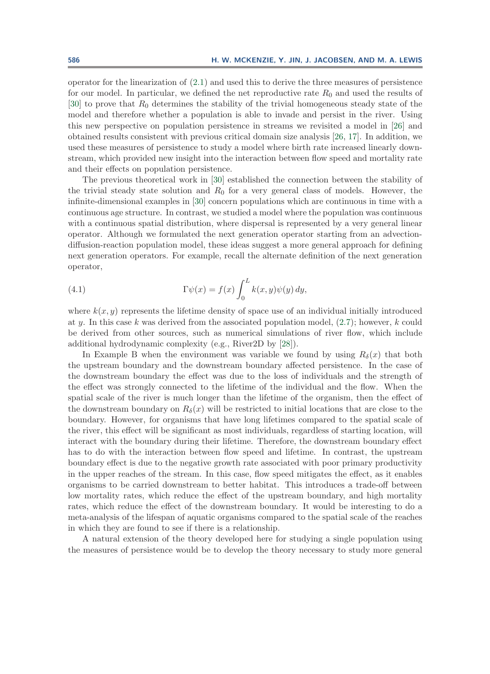operator for the linearization of [\(2.1\)](#page-3-0) and used this to derive the three measures of persistence for our model. In particular, we defined the net reproductive rate  $R_0$  and used the results of [\[30\]](#page-29-12) to prove that  $R_0$  determines the stability of the trivial homogeneous steady state of the model and therefore whether a population is able to invade and persist in the river. Using this new perspective on population persistence in streams we revisited a model in [\[26\]](#page-29-3) and obtained results consistent with previous critical domain size analysis [\[26,](#page-29-3) [17\]](#page-28-10). In addition, we used these measures of persistence to study a model where birth rate increased linearly downstream, which provided new insight into the interaction between flow speed and mortality rate and their effects on population persistence.

The previous theoretical work in [\[30\]](#page-29-12) established the connection between the stability of the trivial steady state solution and  $R_0$  for a very general class of models. However, the infinite-dimensional examples in [\[30\]](#page-29-12) concern populations which are continuous in time with a continuous age structure. In contrast, we studied a model where the population was continuous with a continuous spatial distribution, where dispersal is represented by a very general linear operator. Although we formulated the next generation operator starting from an advectiondiffusion-reaction population model, these ideas suggest a more general approach for defining next generation operators. For example, recall the alternate definition of the next generation operator,

(4.1) 
$$
\Gamma \psi(x) = f(x) \int_0^L k(x, y) \psi(y) dy,
$$

where  $k(x, y)$  represents the lifetime density of space use of an individual initially introduced at y. In this case k was derived from the associated population model,  $(2.7)$ ; however, k could be derived from other sources, such as numerical simulations of river flow, which include additional hydrodynamic complexity (e.g., River2D by [\[28\]](#page-29-14)).

In Example B when the environment was variable we found by using  $R_\delta(x)$  that both the upstream boundary and the downstream boundary affected persistence. In the case of the downstream boundary the effect was due to the loss of individuals and the strength of the effect was strongly connected to the lifetime of the individual and the flow. When the spatial scale of the river is much longer than the lifetime of the organism, then the effect of the downstream boundary on  $R_{\delta}(x)$  will be restricted to initial locations that are close to the boundary. However, for organisms that have long lifetimes compared to the spatial scale of the river, this effect will be significant as most individuals, regardless of starting location, will interact with the boundary during their lifetime. Therefore, the downstream boundary effect has to do with the interaction between flow speed and lifetime. In contrast, the upstream boundary effect is due to the negative growth rate associated with poor primary productivity in the upper reaches of the stream. In this case, flow speed mitigates the effect, as it enables organisms to be carried downstream to better habitat. This introduces a trade-off between low mortality rates, which reduce the effect of the upstream boundary, and high mortality rates, which reduce the effect of the downstream boundary. It would be interesting to do a meta-analysis of the lifespan of aquatic organisms compared to the spatial scale of the reaches in which they are found to see if there is a relationship.

A natural extension of the theory developed here for studying a single population using the measures of persistence would be to develop the theory necessary to study more general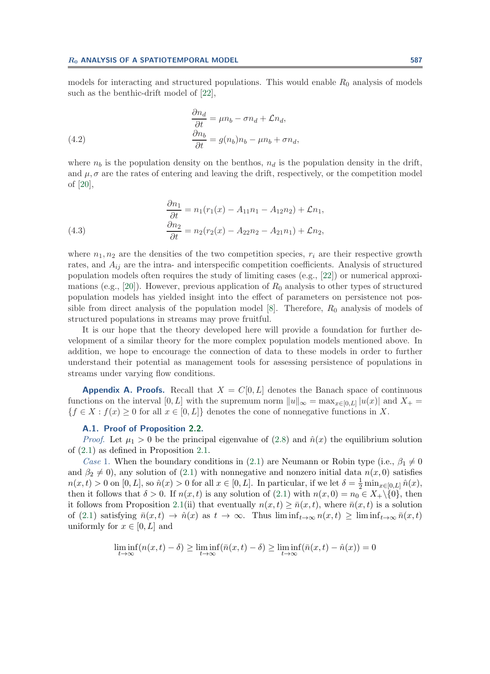models for interacting and structured populations. This would enable  $R_0$  analysis of models such as the benthic-drift model of [\[22\]](#page-29-4),

(4.2) 
$$
\begin{aligned}\n\frac{\partial n_d}{\partial t} &= \mu n_b - \sigma n_d + \mathcal{L} n_d, \\
\frac{\partial n_b}{\partial t} &= g(n_b) n_b - \mu n_b + \sigma n_d,\n\end{aligned}
$$

where  $n_b$  is the population density on the benthos,  $n_d$  is the population density in the drift, and  $\mu, \sigma$  are the rates of entering and leaving the drift, respectively, or the competition model of [\[20\]](#page-29-6),

(4.3) 
$$
\frac{\partial n_1}{\partial t} = n_1(r_1(x) - A_{11}n_1 - A_{12}n_2) + \mathcal{L}n_1,
$$

$$
\frac{\partial n_2}{\partial t} = n_2(r_2(x) - A_{22}n_2 - A_{21}n_1) + \mathcal{L}n_2,
$$

where  $n_1, n_2$  are the densities of the two competition species,  $r_i$  are their respective growth rates, and  $A_{ij}$  are the intra- and interspecific competition coefficients. Analysis of structured population models often requires the study of limiting cases (e.g., [\[22\]](#page-29-4)) or numerical approxi-mations (e.g., [\[20\]](#page-29-6)). However, previous application of  $R_0$  analysis to other types of structured population models has yielded insight into the effect of parameters on persistence not possible from direct analysis of the population model  $[8]$ . Therefore,  $R_0$  analysis of models of structured populations in streams may prove fruitful.

It is our hope that the theory developed here will provide a foundation for further development of a similar theory for the more complex population models mentioned above. In addition, we hope to encourage the connection of data to these models in order to further understand their potential as management tools for assessing persistence of populations in streams under varying flow conditions.

**Appendix A. Proofs.** Recall that  $X = C[0, L]$  denotes the Banach space of continuous functions on the interval [0, L] with the supremum norm  $||u||_{\infty} = \max_{x \in [0,L]} |u(x)|$  and  $X_{+} =$  ${f \in X : f(x) \geq 0$  for all  $x \in [0, L]$  denotes the cone of nonnegative functions in X.

### <span id="page-20-0"></span>**A.1. Proof of Proposition [2.2.](#page-5-0)**

*Proof.* Let  $\mu_1 > 0$  be the principal eigenvalue of [\(2.8\)](#page-4-0) and  $\hat{n}(x)$  the equilibrium solution of [\(2.1\)](#page-3-0) as defined in Proposition [2.1.](#page-4-1)

*Case* 1. When the boundary conditions in [\(2.1\)](#page-3-0) are Neumann or Robin type (i.e.,  $\beta_1 \neq 0$ and  $\beta_2 \neq 0$ , any solution of [\(2.1\)](#page-3-0) with nonnegative and nonzero initial data  $n(x, 0)$  satisfies  $n(x,t) > 0$  on  $[0,L]$ , so  $\hat{n}(x) > 0$  for all  $x \in [0,L]$ . In particular, if we let  $\delta = \frac{1}{2} \min_{x \in [0,L]} \hat{n}(x)$ ,<br>then it follows that  $\delta > 0$ . If  $n(x,t)$  is any solution of  $(2,1)$  with  $n(x,0) = n_0 \in X \setminus \{0\}$ , then then it follows that  $\delta > 0$ . If  $n(x, t)$  is any solution of  $(2.1)$  with  $n(x, 0) = n_0 \in X_+\setminus\{0\}$ , then it follows from Proposition [2.1\(](#page-4-1)ii) that eventually  $n(x,t) \geq \bar{n}(x,t)$ , where  $\bar{n}(x,t)$  is a solution of [\(2.1\)](#page-3-0) satisfying  $\bar{n}(x,t) \to \hat{n}(x)$  as  $t \to \infty$ . Thus  $\liminf_{t \to \infty} n(x,t) \geq \liminf_{t \to \infty} \bar{n}(x,t)$ uniformly for  $x \in [0, L]$  and

$$
\liminf_{t \to \infty} (n(x, t) - \delta) \ge \liminf_{t \to \infty} (\bar{n}(x, t) - \delta) \ge \liminf_{t \to \infty} (\bar{n}(x, t) - \hat{n}(x)) = 0
$$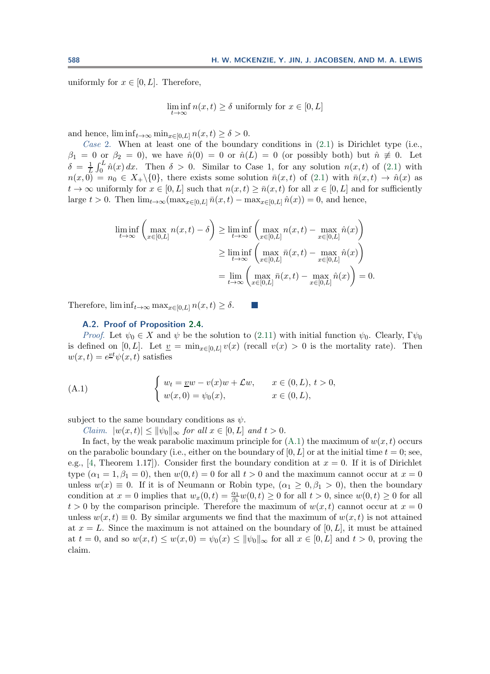uniformly for  $x \in [0, L]$ . Therefore,

 $\liminf_{t \to \infty} n(x, t) \ge \delta$  uniformly for  $x \in [0, L]$ 

and hence,  $\liminf_{t\to\infty} \min_{x\in[0,L]} n(x,t) \geq \delta > 0.$ 

*Case* 2. When at least one of the boundary conditions in [\(2.1\)](#page-3-0) is Dirichlet type (i.e.,  $\beta_1 = 0$  or  $\beta_2 = 0$ , we have  $\hat{n}(0) = 0$  or  $\hat{n}(L) = 0$  (or possibly both) but  $\hat{n} \neq 0$ . Let  $\delta = \frac{1}{L} \int_0^L \hat{n}(x) dx$ . Then  $\delta > 0$ . Similar to Case 1, for any solution  $n(x,t)$  of [\(2.1\)](#page-3-0) with  $n(x, t) \to n(x)$  as  $n(x, 0) = n_0 \in X_+\setminus\{0\}$ , there exists some solution  $\bar{n}(x, t)$  of  $(2.1)$  with  $\bar{n}(x, t) \to \hat{n}(x)$  as  $t \to \infty$  uniformly for  $x \in [0, L]$  such that  $n(x, t) \geq \bar{n}(x, t)$  for all  $x \in [0, L]$  and for sufficiently large  $t > 0$ . Then  $\lim_{t \to \infty} (\max_{x \in [0,L]} \bar{n}(x,t) - \max_{x \in [0,L]} \hat{n}(x)) = 0$ , and hence,

$$
\liminf_{t \to \infty} \left( \max_{x \in [0,L]} n(x,t) - \delta \right) \ge \liminf_{t \to \infty} \left( \max_{x \in [0,L]} n(x,t) - \max_{x \in [0,L]} \hat{n}(x) \right)
$$
\n
$$
\ge \liminf_{t \to \infty} \left( \max_{x \in [0,L]} \bar{n}(x,t) - \max_{x \in [0,L]} \hat{n}(x) \right)
$$
\n
$$
= \lim_{t \to \infty} \left( \max_{x \in [0,L]} \bar{n}(x,t) - \max_{x \in [0,L]} \hat{n}(x) \right) = 0.
$$

<span id="page-21-0"></span>Therefore,  $\liminf_{t\to\infty} \max_{x\in[0,L]} n(x,t) \geq \delta$ .

# <span id="page-21-1"></span>**A.2. Proof of Proposition [2.4.](#page-6-4)**

*Proof.* Let  $\psi_0 \in X$  and  $\psi$  be the solution to [\(2.11\)](#page-5-1) with initial function  $\psi_0$ . Clearly,  $\Gamma \psi_0$ is defined on [0, L]. Let  $v = \min_{x \in [0, L]} v(x)$  (recall  $v(x) > 0$  is the mortality rate). Then  $w(x,t) = e^{vt}\psi(x,t)$  satisfies

(A.1) 
$$
\begin{cases} w_t = \underline{v}w - v(x)w + \mathcal{L}w, & x \in (0, L), t > 0, \\ w(x, 0) = \psi_0(x), & x \in (0, L), \end{cases}
$$

subject to the same boundary conditions as  $\psi$ .

*Claim.*  $|w(x,t)| \le ||\psi_0||_{\infty}$  *for all*  $x \in [0,L]$  *and*  $t > 0$ *.* 

In fact, by the weak parabolic maximum principle for  $(A.1)$  the maximum of  $w(x, t)$  occurs on the parabolic boundary (i.e., either on the boundary of  $[0, L]$  or at the initial time  $t = 0$ ; see, e.g., [\[4,](#page-28-9) Theorem 1.17]). Consider first the boundary condition at  $x = 0$ . If it is of Dirichlet type  $(\alpha_1 = 1, \beta_1 = 0)$ , then  $w(0, t) = 0$  for all  $t > 0$  and the maximum cannot occur at  $x = 0$ unless  $w(x) \equiv 0$ . If it is of Neumann or Robin type,  $(\alpha_1 \geq 0, \beta_1 > 0)$ , then the boundary condition at  $x = 0$  implies that  $w_x(0,t) = \frac{\alpha_1}{\beta_1} w(0,t) \ge 0$  for all  $t > 0$ , since  $w(0,t) \ge 0$  for all  $t > 0$  by the comparison principle. Therefore the maximum of  $w(x, t)$  cannot occur at  $x = 0$ unless  $w(x, t) \equiv 0$ . By similar arguments we find that the maximum of  $w(x, t)$  is not attained at  $x = L$ . Since the maximum is not attained on the boundary of  $[0, L]$ , it must be attained at  $t = 0$ , and so  $w(x, t) \leq w(x, 0) = \psi_0(x) \leq ||\psi_0||_{\infty}$  for all  $x \in [0, L]$  and  $t > 0$ , proving the claim.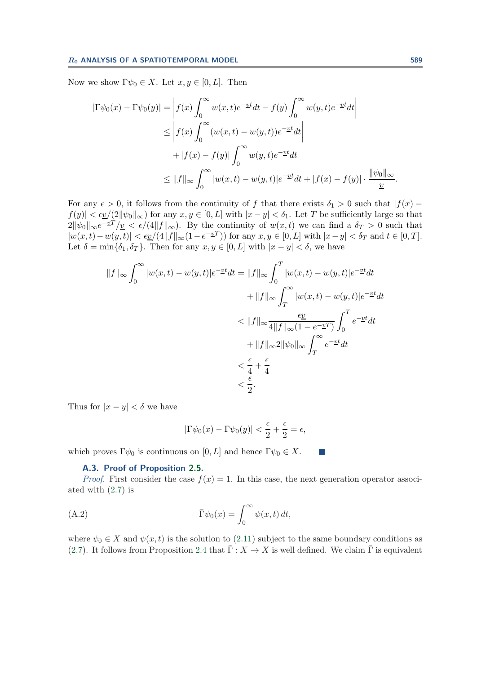# *R***<sup>0</sup> ANALYSIS OF A SPATIOTEMPORAL MODEL 589**

Now we show  $\Gamma \psi_0 \in X$ . Let  $x, y \in [0, L]$ . Then

$$
|\Gamma \psi_0(x) - \Gamma \psi_0(y)| = \left| f(x) \int_0^\infty w(x, t) e^{-\underline{v}t} dt - f(y) \int_0^\infty w(y, t) e^{-\underline{v}t} dt \right|
$$
  
\n
$$
\leq \left| f(x) \int_0^\infty (w(x, t) - w(y, t)) e^{-\underline{v}t} dt \right|
$$
  
\n
$$
+ |f(x) - f(y)| \int_0^\infty w(y, t) e^{-\underline{v}t} dt
$$
  
\n
$$
\leq ||f||_{\infty} \int_0^\infty |w(x, t) - w(y, t)| e^{-\underline{v}t} dt + |f(x) - f(y)| \cdot \frac{||\psi_0||_{\infty}}{\underline{v}}.
$$

For any  $\epsilon > 0$ , it follows from the continuity of f that there exists  $\delta_1 > 0$  such that  $|f(x) |f(y)| < \epsilon \underline{v}/(2||\psi_0||_{\infty})$  for any  $x, y \in [0, L]$  with  $|x - y| < \delta_1$ . Let T be sufficiently large so that  $2\|\psi_0\|_{\infty}e^{-\underline{v}T}/\underline{v}<\epsilon/(4\|f\|_{\infty}).$  By the continuity of  $w(x,t)$  we can find a  $\delta_T>0$  such that  $|w(x,t)-w(y,t)| < \epsilon \underline{v}/(4||f||_{\infty}(1-e^{-\underline{v}T}))$  for any  $x, y \in [0, L]$  with  $|x-y| < \delta_T$  and  $t \in [0, T]$ . Let  $\delta = \min{\delta_1, \delta_T}$ . Then for any  $x, y \in [0, L]$  with  $|x - y| < \delta$ , we have

$$
||f||_{\infty} \int_0^{\infty} |w(x,t) - w(y,t)|e^{-\underline{v}t}dt = ||f||_{\infty} \int_0^T |w(x,t) - w(y,t)|e^{-\underline{v}t}dt
$$
  
+ 
$$
||f||_{\infty} \int_T^{\infty} |w(x,t) - w(y,t)|e^{-\underline{v}t}dt
$$
  

$$
< ||f||_{\infty} \frac{\epsilon \underline{v}}{4||f||_{\infty}(1 - e^{-\underline{v}T})} \int_0^T e^{-\underline{v}t}dt
$$
  
+ 
$$
||f||_{\infty} 2||\psi_0||_{\infty} \int_T^{\infty} e^{-\underline{v}t}dt
$$
  

$$
< \frac{\epsilon}{4} + \frac{\epsilon}{4}
$$
  

$$
< \frac{\epsilon}{2}.
$$

Thus for  $|x-y| < \delta$  we have

$$
|\Gamma\psi_0(x)-\Gamma\psi_0(y)|<\frac{\epsilon}{2}+\frac{\epsilon}{2}=\epsilon,
$$

<span id="page-22-0"></span>which proves  $\Gamma \psi_0$  is continuous on  $[0, L]$  and hence  $\Gamma \psi_0 \in X$ . p.

# **A.3. Proof of Proposition [2.5.](#page-6-1)**

*Proof.* First consider the case  $f(x) = 1$ . In this case, the next generation operator associated with [\(2.7\)](#page-4-2) is

<span id="page-22-1"></span>(A.2) 
$$
\bar{\Gamma}\psi_0(x) = \int_0^\infty \psi(x,t) dt,
$$

where  $\psi_0 \in X$  and  $\psi(x, t)$  is the solution to [\(2.11\)](#page-5-1) subject to the same boundary conditions as [\(2.7\)](#page-4-2). It follows from Proposition [2.4](#page-6-4) that  $\overline{\Gamma}: X \to X$  is well defined. We claim  $\overline{\Gamma}$  is equivalent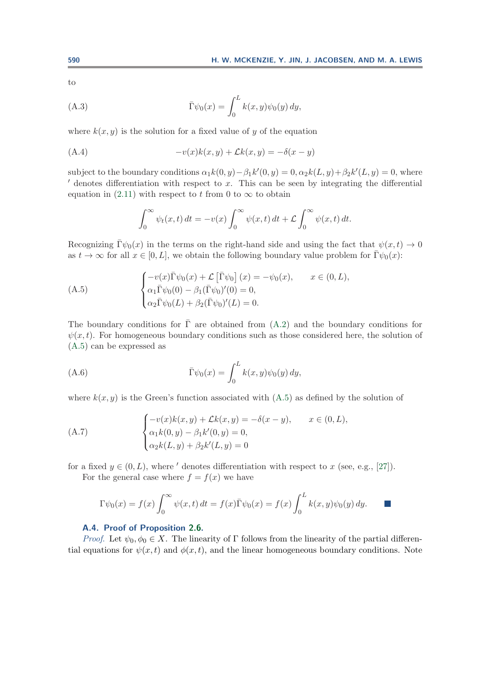to

(A.3) 
$$
\bar{\Gamma}\psi_0(x) = \int_0^L k(x, y)\psi_0(y) dy,
$$

where  $k(x, y)$  is the solution for a fixed value of y of the equation

$$
(A.4) \t -v(x)k(x,y) + \mathcal{L}k(x,y) = -\delta(x-y)
$$

subject to the boundary conditions  $\alpha_1 k(0, y) - \beta_1 k'(0, y) = 0$ ,  $\alpha_2 k(L, y) + \beta_2 k'(L, y) = 0$ , where  $'$  denotes differentiation with respect to x. This can be seen by integrating the differential equation in [\(2.11\)](#page-5-1) with respect to t from 0 to  $\infty$  to obtain

<span id="page-23-1"></span>
$$
\int_0^\infty \psi_t(x,t) dt = -v(x) \int_0^\infty \psi(x,t) dt + \mathcal{L} \int_0^\infty \psi(x,t) dt.
$$

Recognizing  $\bar{\Gamma}\psi_0(x)$  in the terms on the right-hand side and using the fact that  $\psi(x,t) \to 0$ as  $t \to \infty$  for all  $x \in [0, L]$ , we obtain the following boundary value problem for  $\bar{\Gamma}\psi_0(x)$ :

(A.5)  
\n
$$
\begin{cases}\n-v(x)\overline{\Gamma}\psi_0(x) + \mathcal{L} \left[\overline{\Gamma}\psi_0\right](x) = -\psi_0(x), & x \in (0, L), \\
\alpha_1 \overline{\Gamma}\psi_0(0) - \beta_1(\overline{\Gamma}\psi_0)'(0) = 0, \\
\alpha_2 \overline{\Gamma}\psi_0(L) + \beta_2(\overline{\Gamma}\psi_0)'(L) = 0.\n\end{cases}
$$

The boundary conditions for  $\bar{\Gamma}$  are obtained from ([A.2\)](#page-22-1) and the boundary conditions for  $\psi(x, t)$ . For homogeneous boundary conditions such as those considered here, the solution of [\(A.5\)](#page-23-1) can be expressed as

(A.6) 
$$
\overline{\Gamma}\psi_0(x) = \int_0^L k(x, y)\psi_0(y) dy,
$$

where  $k(x, y)$  is the Green's function associated with  $(A.5)$  as defined by the solution of

(A.7) 
$$
\begin{cases} -v(x)k(x,y) + \mathcal{L}k(x,y) = -\delta(x-y), & x \in (0,L), \\ \alpha_1 k(0,y) - \beta_1 k'(0,y) = 0, \\ \alpha_2 k(L,y) + \beta_2 k'(L,y) = 0 \end{cases}
$$

for a fixed  $y \in (0, L)$ , where ' denotes differentiation with respect to x (see, e.g., [\[27\]](#page-29-15)).

For the general case where  $f = f(x)$  we have

<span id="page-23-2"></span>
$$
\Gamma \psi_0(x) = f(x) \int_0^\infty \psi(x, t) dt = f(x) \overline{\Gamma} \psi_0(x) = f(x) \int_0^L k(x, y) \psi_0(y) dy.
$$

# <span id="page-23-0"></span>**A.4. Proof of Proposition [2.6.](#page-9-1)**

*Proof.* Let  $\psi_0, \phi_0 \in X$ . The linearity of Γ follows from the linearity of the partial differential equations for  $\psi(x,t)$  and  $\phi(x,t)$ , and the linear homogeneous boundary conditions. Note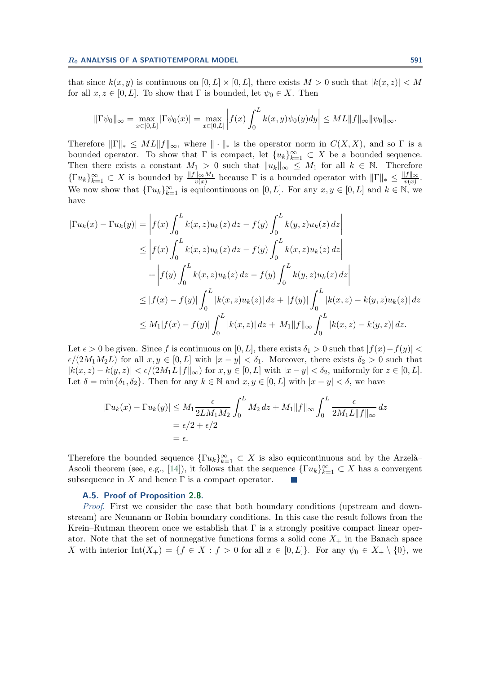that since  $k(x, y)$  is continuous on  $[0, L] \times [0, L]$ , there exists  $M > 0$  such that  $|k(x, z)| < M$ for all  $x, z \in [0, L]$ . To show that  $\Gamma$  is bounded, let  $\psi_0 \in X$ . Then

$$
\|\Gamma\psi_0\|_{\infty} = \max_{x \in [0,L]} |\Gamma\psi_0(x)| = \max_{x \in [0,L]} \left| f(x) \int_0^L k(x,y)\psi_0(y)dy \right| \leq ML \|f\|_{\infty} \|\psi_0\|_{\infty}.
$$

Therefore  $\|\Gamma\|_* \leq ML \|f\|_{\infty}$ , where  $\|\cdot\|_*$  is the operator norm in  $C(X, X)$ , and so  $\Gamma$  is a bounded operator. To show that  $\Gamma$  is compact, let  $\{u_k\}_{k=1}^{\infty} \subset X$  be a bounded sequence.<br>Then there exists a constant  $M_{\epsilon} > 0$  such that  $||u|| \leq M_{\epsilon}$  for all  $k \in \mathbb{N}$ . Therefore Then there exists a constant  $M_1 > 0$  such that  $||u_k||_{\infty} \leq M_1$  for all  $k \in \mathbb{N}$ . Therefore  ${\lbrace \Gamma u_k \rbrace_{k=1}^{\infty} \subset X \text{ is bounded by } \frac{\Vert f \Vert_{\infty} M_1}{v(x)} \text{ because } \Gamma \text{ is a bounded operator with } \Vert \Gamma \Vert_{*} \leq \frac{\Vert f \Vert_{\infty}}{v(x)}$ .<br>We now show that  ${\lbrace \Gamma u_k \rbrace_{\infty}^{\infty}}$  is equicontinuous on [0, *1*]. For any  $x, y \in [0, I]$  and  $k \in \mathbb{N}$  was We now show that  $\{\Gamma u_k\}_{k=1}^{\infty}$  is equicontinuous on  $[0, L]$ . For any  $x, y \in [0, L]$  and  $k \in \mathbb{N}$ , we have have

$$
|\Gamma u_k(x) - \Gamma u_k(y)| = \left| f(x) \int_0^L k(x, z) u_k(z) dz - f(y) \int_0^L k(y, z) u_k(z) dz \right|
$$
  
\n
$$
\leq \left| f(x) \int_0^L k(x, z) u_k(z) dz - f(y) \int_0^L k(x, z) u_k(z) dz \right|
$$
  
\n
$$
+ \left| f(y) \int_0^L k(x, z) u_k(z) dz - f(y) \int_0^L k(y, z) u_k(z) dz \right|
$$
  
\n
$$
\leq |f(x) - f(y)| \int_0^L |k(x, z) u_k(z)| dz + |f(y)| \int_0^L |k(x, z) - k(y, z) u_k(z)| dz
$$
  
\n
$$
\leq M_1 |f(x) - f(y)| \int_0^L |k(x, z)| dz + M_1 ||f||_{\infty} \int_0^L |k(x, z) - k(y, z)| dz.
$$

Let  $\epsilon > 0$  be given. Since f is continuous on [0, L], there exists  $\delta_1 > 0$  such that  $|f(x)-f(y)| <$  $\epsilon/(2M_1M_2L)$  for all  $x, y \in [0, L]$  with  $|x - y| < \delta_1$ . Moreover, there exists  $\delta_2 > 0$  such that  $|k(x, z) - k(y, z)| < \epsilon/(2M_1L||f||_{\infty})$  for  $x, y \in [0, L]$  with  $|x - y| < \delta_2$ , uniformly for  $z \in [0, L]$ . Let  $\delta = \min\{\delta_1, \delta_2\}$ . Then for any  $k \in \mathbb{N}$  and  $x, y \in [0, L]$  with  $|x - y| < \delta$ , we have

$$
|\Gamma u_k(x) - \Gamma u_k(y)| \le M_1 \frac{\epsilon}{2LM_1M_2} \int_0^L M_2 dz + M_1 ||f||_{\infty} \int_0^L \frac{\epsilon}{2M_1L||f||_{\infty}} dz
$$
  
=  $\epsilon/2 + \epsilon/2$   
=  $\epsilon$ .

Therefore the bounded sequence  $\{\Gamma u_k\}_{k=1}^{\infty} \subset X$  is also equicontinuous and by the Arzelà–<br>Ascoli theorem (see e.g. [14]) it follows that the sequence  $\{\Gamma u_k\}_{k=1}^{\infty} \subset X$  has a convergent Ascoli theorem (see, e.g., [\[14\]](#page-28-12)), it follows that the sequence  $\{\Gamma u_k\}_{k=1}^{\infty} \subset X$  has a convergent subsequence in X and hence  $\Gamma$  is a compact operator subsequence in X and hence  $\Gamma$  is a compact operator.

# <span id="page-24-0"></span>**A.5. Proof of Proposition [2.8.](#page-10-2)**

*Proof*. First we consider the case that both boundary conditions (upstream and downstream) are Neumann or Robin boundary conditions. In this case the result follows from the Krein–Rutman theorem once we establish that  $\Gamma$  is a strongly positive compact linear operator. Note that the set of nonnegative functions forms a solid cone  $X_+$  in the Banach space X with interior  $Int(X_+) = \{f \in X : f > 0 \text{ for all } x \in [0,L]\}.$  For any  $\psi_0 \in X_+ \setminus \{0\}$ , we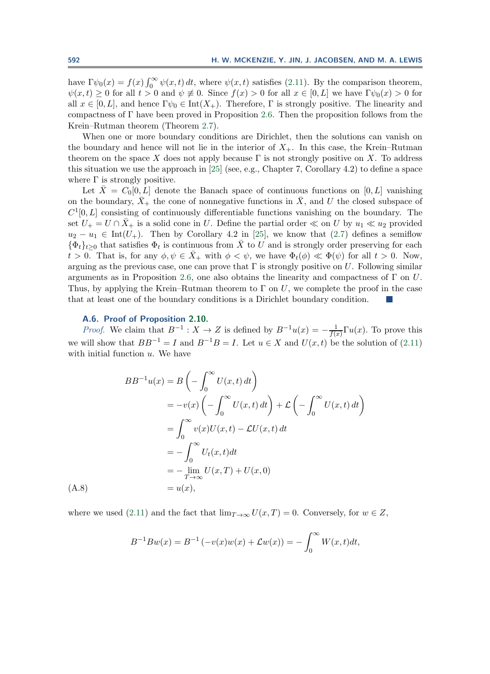have  $\Gamma \psi_0(x) = f(x) \int_0^\infty \psi(x,t) dt$ , where  $\psi(x,t)$  satisfies [\(2.11\)](#page-5-1). By the comparison theorem,<br> $\psi(x,t) > 0$  for all  $t > 0$  and  $\psi \neq 0$ . Since  $f(x) > 0$  for all  $x \in [0, L]$  we have  $\Gamma \psi_0(x) > 0$  for  $\psi(x,t) \geq 0$  for all  $t > 0$  and  $\psi \neq 0$ . Since  $f(x) > 0$  for all  $x \in [0,L]$  we have  $\Gamma \psi_0(x) > 0$  for all  $x \in [0, L]$ , and hence  $\Gamma \psi_0 \in \text{Int}(X_+)$ . Therefore,  $\Gamma$  is strongly positive. The linearity and compactness of Γ have been proved in Proposition [2.6.](#page-9-1) Then the proposition follows from the Krein–Rutman theorem (Theorem [2.7\)](#page-9-2).

When one or more boundary conditions are Dirichlet, then the solutions can vanish on the boundary and hence will not lie in the interior of  $X_{+}$ . In this case, the Krein–Rutman theorem on the space X does not apply because  $\Gamma$  is not strongly positive on X. To address this situation we use the approach in [\[25\]](#page-29-13) (see, e.g., Chapter 7, Corollary 4.2) to define a space where  $\Gamma$  is strongly positive.

Let  $X = C_0[0, L]$  denote the Banach space of continuous functions on  $[0, L]$  vanishing on the boundary,  $\bar{X}_+$  the cone of nonnegative functions in  $\bar{X}$ , and U the closed subspace of  $C^1[0,L]$  consisting of continuously differentiable functions vanishing on the boundary. The set  $U_+ = U \cap \bar{X}_+$  is a solid cone in U. Define the partial order  $\ll$  on U by  $u_1 \ll u_2$  provided  $u_2 - u_1 \in Int(U_+)$ . Then by Corollary 4.2 in [\[25\]](#page-29-13), we know that [\(2.7\)](#page-4-2) defines a semiflow  ${\{\Phi_t\}}_{t>0}$  that satisfies  $\Phi_t$  is continuous from  $\bar{X}$  to U and is strongly order preserving for each  $t > 0$ . That is, for any  $\phi, \psi \in \bar{X}_+$  with  $\phi < \psi$ , we have  $\Phi_t(\phi) \ll \Phi(\psi)$  for all  $t > 0$ . Now, arguing as the previous case, one can prove that  $\Gamma$  is strongly positive on U. Following similar arguments as in Proposition [2.6,](#page-9-1) one also obtains the linearity and compactness of  $\Gamma$  on U. Thus, by applying the Krein–Rutman theorem to  $\Gamma$  on U, we complete the proof in the case that at least one of the boundary conditions is a Dirichlet boundary condition.

### <span id="page-25-0"></span>**A.6. Proof of Proposition [2.10.](#page-10-1)**

*Proof.* We claim that  $B^{-1}: X \to Z$  is defined by  $B^{-1}u(x) = -\frac{1}{f(x)}\Gamma u(x)$ . To prove this we will show that  $BB^{-1} = I$  and  $B^{-1}B = I$ . Let  $u \in X$  and  $U(x, t)$  be the solution of [\(2.11\)](#page-5-1) with initial function  $u$ . We have

$$
BB^{-1}u(x) = B\left(-\int_0^\infty U(x,t) dt\right)
$$
  
=  $-v(x)\left(-\int_0^\infty U(x,t) dt\right) + \mathcal{L}\left(-\int_0^\infty U(x,t) dt\right)$   
=  $\int_0^\infty v(x)U(x,t) - \mathcal{L}U(x,t) dt$   
=  $-\int_0^\infty U_t(x,t) dt$   
=  $-\lim_{T \to \infty} U(x,T) + U(x,0)$   
(A.8)  
=  $u(x)$ ,

where we used [\(2.11\)](#page-5-1) and the fact that  $\lim_{T\to\infty} U(x,T) = 0$ . Conversely, for  $w \in Z$ ,

$$
B^{-1}Bw(x) = B^{-1}(-v(x)w(x) + \mathcal{L}w(x)) = -\int_0^\infty W(x,t)dt,
$$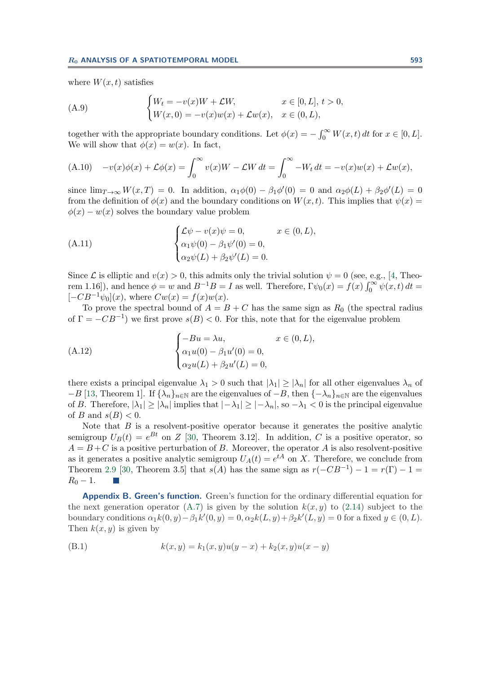where  $W(x, t)$  satisfies

(A.9) 
$$
\begin{cases} W_t = -v(x)W + \mathcal{L}W, & x \in [0, L], t > 0, \\ W(x, 0) = -v(x)w(x) + \mathcal{L}w(x), & x \in (0, L), \end{cases}
$$

together with the appropriate boundary conditions. Let  $\phi(x) = -\int_0^\infty W(x, t) dt$  for  $x \in [0, L]$ .<br>We will show that  $\phi(x) = w(x)$ . In fact We will show that  $\phi(x) = w(x)$ . In fact,

(A.10) 
$$
-v(x)\phi(x) + \mathcal{L}\phi(x) = \int_0^\infty v(x)W - \mathcal{L}W dt = \int_0^\infty -W_t dt = -v(x)w(x) + \mathcal{L}w(x),
$$

since  $\lim_{T\to\infty} W(x,T) = 0$ . In addition,  $\alpha_1\phi(0) - \beta_1\phi'(0) = 0$  and  $\alpha_2\phi(L) + \beta_2\phi'(L) = 0$ from the definition of  $\phi(x)$  and the boundary conditions on  $W(x,t)$ . This implies that  $\psi(x)$  =  $\phi(x) - w(x)$  solves the boundary value problem

(A.11) 
$$
\begin{cases} \mathcal{L}\psi - v(x)\psi = 0, & x \in (0, L), \\ \alpha_1\psi(0) - \beta_1\psi'(0) = 0, \\ \alpha_2\psi(L) + \beta_2\psi'(L) = 0. \end{cases}
$$

Since L is elliptic and  $v(x) > 0$ , this admits only the trivial solution  $\psi = 0$  (see, e.g., [\[4,](#page-28-9) Theorem 1.16]), and hence  $\phi = w$  and  $B^{-1}B = I$  as well. Therefore,  $\Gamma \psi_0(x) = f(x) \int_0^\infty \psi(x, t) dt =$ <br>[ $-CB^{-1}\psi_0(x)$  where  $Cw(x) = f(x)w(x)$  $[-CB^{-1}\psi_0](x)$ , where  $Cw(x) = f(x)w(x)$ .

To prove the spectral bound of  $A = B + C$  has the same sign as  $R_0$  (the spectral radius of  $\Gamma = -CB^{-1}$ ) we first prove  $s(B) < 0$ . For this, note that for the eigenvalue problem

(A.12) 
$$
\begin{cases}\n-Bu = \lambda u, & x \in (0, L), \\
\alpha_1 u(0) - \beta_1 u'(0) = 0, \\
\alpha_2 u(L) + \beta_2 u'(L) = 0,\n\end{cases}
$$

there exists a principal eigenvalue  $\lambda_1 > 0$  such that  $|\lambda_1| \geq |\lambda_n|$  for all other eigenvalues  $\lambda_n$  of  $-B$  [\[13,](#page-28-15) Theorem 1]. If  $\{\lambda_n\}_{n\in\mathbb{N}}$  are the eigenvalues of  $-B$ , then  $\{-\lambda_n\}_{n\in\mathbb{N}}$  are the eigenvalues of B. Therefore,  $|\lambda_1| \geq |\lambda_n|$  implies that  $|-\lambda_1| \geq |-\lambda_n|$ , so  $-\lambda_1 < 0$  is the principal eigenvalue of B and  $s(B) < 0$ .

Note that  $B$  is a resolvent-positive operator because it generates the positive analytic semigroup  $U_B(t) = e^{Bt}$  on Z [\[30,](#page-29-12) Theorem 3.12]. In addition, C is a positive operator, so  $A = B + C$  is a positive perturbation of B. Moreover, the operator A is also resolvent-positive as it generates a positive analytic semigroup  $U_A(t) = e^{tA}$  on X. Therefore, we conclude from Theorem [2.9](#page-10-0) [\[30,](#page-29-12) Theorem 3.5] that  $s(A)$  has the same sign as  $r(-CB^{-1}) - 1 = r(\Gamma) - 1 =$  $R_0 - 1$ .

<span id="page-26-0"></span>**Appendix B. Green's function.** Green's function for the ordinary differential equation for the next generation operator [\(A.7\)](#page-23-2) is given by the solution  $k(x, y)$  to [\(2.14\)](#page-6-3) subject to the boundary conditions  $\alpha_1 k(0, y) - \beta_1 k'(0, y) = 0$ ,  $\alpha_2 k(L, y) + \beta_2 k'(L, y) = 0$  for a fixed  $y \in (0, L)$ .<br>Then  $k(x, y)$  is given by Then  $k(x, y)$  is given by

(B.1) 
$$
k(x,y) = k_1(x,y)u(y-x) + k_2(x,y)u(x-y)
$$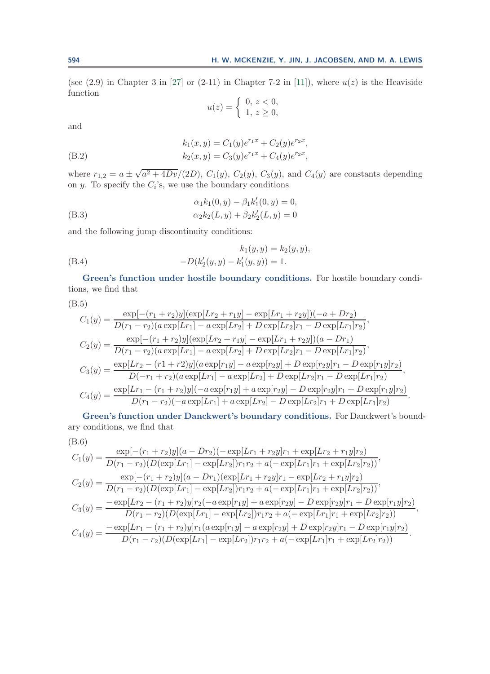(see  $(2.9)$  in Chapter 3 in [\[27\]](#page-29-15) or  $(2-11)$  in Chapter 7-2 in [\[11\]](#page-28-16)), where  $u(z)$  is the Heaviside function

$$
u(z) = \begin{cases} 0, z < 0, \\ 1, z \ge 0, \end{cases}
$$

and

(B.2) 
$$
k_1(x, y) = C_1(y)e^{r_1x} + C_2(y)e^{r_2x},
$$

$$
k_2(x, y) = C_3(y)e^{r_1x} + C_4(y)e^{r_2x},
$$

where  $r_{1,2} = a \pm \sqrt{a^2 + 4Dv}/(2D)$ ,  $C_1(y)$ ,  $C_2(y)$ ,  $C_3(y)$ , and  $C_4(y)$  are constants depending on y. To specify the  $C_i$ 's, we use the boundary conditions

(B.3) 
$$
\alpha_1 k_1(0, y) - \beta_1 k'_1(0, y) = 0, \alpha_2 k_2(L, y) + \beta_2 k'_2(L, y) = 0
$$

and the following jump discontinuity conditions:

$$
k_1(y, y) = k_2(y, y),
$$
  
(B.4) 
$$
-D(k'_2(y, y) - k'_1(y, y)) = 1.
$$

**Green's function under hostile boundary conditions.** For hostile boundary conditions, we find that

$$
(B.5)
$$

$$
C_1(y) = \frac{\exp[-(r_1 + r_2)y](\exp[Lr_2 + r_1y)] - \exp[Lr_1 + r_2y])(-a + Dr_2)}{D(r_1 - r_2)(a \exp[Lr_1] - a \exp[Lr_2] + D \exp[Lr_2]r_1 - D \exp[Lr_1]r_2)},
$$
  
\n
$$
C_2(y) = \frac{\exp[-(r_1 + r_2)y](\exp[Lr_2 + r_1y)] - \exp[Lr_1 + r_2y])(a - Dr_1)}{D(r_1 - r_2)(a \exp[Lr_1] - a \exp[Lr_2] + D \exp[Lr_2]r_1 - D \exp[Lr_1]r_2)},
$$
  
\n
$$
C_3(y) = \frac{\exp[Lr_2 - (r_1 + r_2)y](a \exp[r_1y] - a \exp[r_2y] + D \exp[r_2y]r_1 - D \exp[r_1y]r_2)}{D(-r_1 + r_2)(a \exp[Lr_1] - a \exp[Lr_2] + D \exp[Lr_2]r_1 - D \exp[Lr_1]r_2)},
$$
  
\n
$$
C_4(y) = \frac{\exp[Lr_1 - (r_1 + r_2)y](-a \exp[r_1y] + a \exp[r_2y] - D \exp[r_2y]r_1 + D \exp[r_1y]r_2)}{D(r_1 - r_2)(-a \exp[Lr_1] + a \exp[Lr_2] - D \exp[Lr_2]r_1 + D \exp[Lr_1]r_2)}.
$$

**Green's function under Danckwert's boundary conditions.** For Danckwert's boundary conditions, we find that

$$
(B.6)
$$

$$
C_1(y) = \frac{\exp[-(r_1 + r_2)y](a - Dr_2)(-\exp[Lr_1 + r_2y]r_1 + \exp[Lr_2 + r_1y]r_2)}{D(r_1 - r_2)(D(\exp[Lr_1] - \exp[Lr_2])r_1r_2 + a(-\exp[Lr_1]r_1 + \exp[Lr_2]r_2))},
$$
  
\n
$$
C_2(y) = \frac{\exp[-(r_1 + r_2)y](a - Dr_1)(\exp[Lr_1 + r_2y]r_1 - \exp[Lr_2 + r_1y]r_2)}{D(r_1 - r_2)(D(\exp[Lr_1] - \exp[Lr_2])r_1r_2 + a(-\exp[Lr_1]r_1 + \exp[Lr_2]r_2))},
$$
  
\n
$$
C_3(y) = \frac{-\exp[Lr_2 - (r_1 + r_2)y]r_2(-a\exp[r_1y] + a\exp[r_2y] - D\exp[r_2y]r_1 + D\exp[r_1y]r_2)}{D(r_1 - r_2)(D(\exp[Lr_1] - \exp[Lr_2])r_1r_2 + a(-\exp[Lr_1]r_1 + \exp[Lr_2]r_2))},
$$
  
\n
$$
C_4(y) = \frac{-\exp[Lr_1 - (r_1 + r_2)y]r_1(a\exp[r_1y] - a\exp[r_2y] + D\exp[r_2y]r_1 - D\exp[r_1y]r_2)}{D(r_1 - r_2)(D(\exp[Lr_1] - \exp[Lr_2])r_1r_2 + a(-\exp[Lr_1]r_1 + \exp[Lr_2]r_2))}.
$$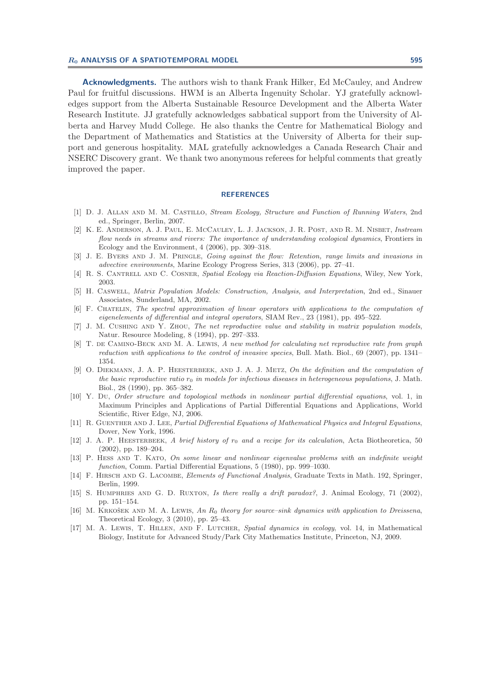#### *R***<sup>0</sup> ANALYSIS OF A SPATIOTEMPORAL MODEL 595**

**Acknowledgments.** The authors wish to thank Frank Hilker, Ed McCauley, and Andrew Paul for fruitful discussions. HWM is an Alberta Ingenuity Scholar. YJ gratefully acknowledges support from the Alberta Sustainable Resource Development and the Alberta Water Research Institute. JJ gratefully acknowledges sabbatical support from the University of Alberta and Harvey Mudd College. He also thanks the Centre for Mathematical Biology and the Department of Mathematics and Statistics at the University of Alberta for their support and generous hospitality. MAL gratefully acknowledges a Canada Research Chair and NSERC Discovery grant. We thank two anonymous referees for helpful comments that greatly improved the paper.

#### **REFERENCES**

- <span id="page-28-14"></span><span id="page-28-0"></span>[1] D. J. Allan and M. M. Castillo, Stream Ecology, Structure and Function of Running Waters, 2nd ed., Springer, Berlin, 2007.
- [2] K. E. Anderson, A. J. Paul, E. McCauley, L. J. Jackson, J. R. Post, and R. M. Nisbet, Instream flow needs in streams and rivers: The importance of understanding ecological dynamics, Frontiers in Ecology and the Environment, 4 (2006), pp. 309–318.
- <span id="page-28-2"></span>[3] J. E. Byers and J. M. Pringle, Going against the flow: Retention, range limits and invasions in advective environments, Marine Ecology Progress Series, 313 (2006), pp. 27–41.
- <span id="page-28-9"></span><span id="page-28-7"></span>[4] R. S. CANTRELL AND C. COSNER, Spatial Ecology via Reaction-Diffusion Equations, Wiley, New York, 2003.
- [5] H. Caswell, Matrix Population Models: Construction, Analysis, and Interpretation, 2nd ed., Sinauer Associates, Sunderland, MA, 2002.
- <span id="page-28-11"></span>[6] F. Chatelin, The spectral approximation of linear operators with applications to the computation of eigenelements of differential and integral operators, SIAM Rev., 23 (1981), pp. 495–522.
- <span id="page-28-8"></span>[7] J. M. Cushing and Y. Zhou, The net reproductive value and stability in matrix population models, Natur. Resource Modeling, 8 (1994), pp. 297–333.
- <span id="page-28-4"></span>[8] T. DE CAMINO-BECK AND M. A. LEWIS, A new method for calculating net reproductive rate from graph reduction with applications to the control of invasive species, Bull. Math. Biol., 69 (2007), pp. 1341– 1354.
- <span id="page-28-5"></span>[9] O. DIEKMANN, J. A. P. HEESTERBEEK, AND J. A. J. METZ, On the definition and the computation of the basic reproductive ratio  $r_0$  in models for infectious diseases in heterogeneous populations, J. Math. Biol., 28 (1990), pp. 365–382.
- <span id="page-28-13"></span>[10] Y. Du, Order structure and topological methods in nonlinear partial differential equations, vol. 1, in Maximum Principles and Applications of Partial Differential Equations and Applications, World Scientific, River Edge, NJ, 2006.
- <span id="page-28-16"></span>[11] R. GUENTHER AND J. LEE, Partial Differential Equations of Mathematical Physics and Integral Equations, Dover, New York, 1996.
- <span id="page-28-6"></span>[12] J. A. P. HEESTERBEEK, A brief history of  $r_0$  and a recipe for its calculation, Acta Biotheoretica, 50 (2002), pp. 189–204.
- <span id="page-28-15"></span>[13] P. HESS AND T. KATO, On some linear and nonlinear eigenvalue problems with an indefinite weight function, Comm. Partial Differential Equations, 5 (1980), pp. 999–1030.
- <span id="page-28-12"></span>[14] F. HIRSCH AND G. LACOMBE, Elements of Functional Analysis, Graduate Texts in Math. 192, Springer, Berlin, 1999.
- <span id="page-28-1"></span>[15] S. HUMPHRIES AND G. D. RUXTON, Is there really a drift paradox?, J. Animal Ecology, 71 (2002), pp. 151–154.
- <span id="page-28-3"></span>[16] M. KRKOŠEK AND M. A. LEWIS, An R<sub>0</sub> theory for source–sink dynamics with application to Dreissena, Theoretical Ecology, 3 (2010), pp. 25–43.
- <span id="page-28-10"></span>[17] M. A. Lewis, T. HILLEN, AND F. LUTCHER, Spatial dynamics in ecology, vol. 14, in Mathematical Biology, Institute for Advanced Study/Park City Mathematics Institute, Princeton, NJ, 2009.